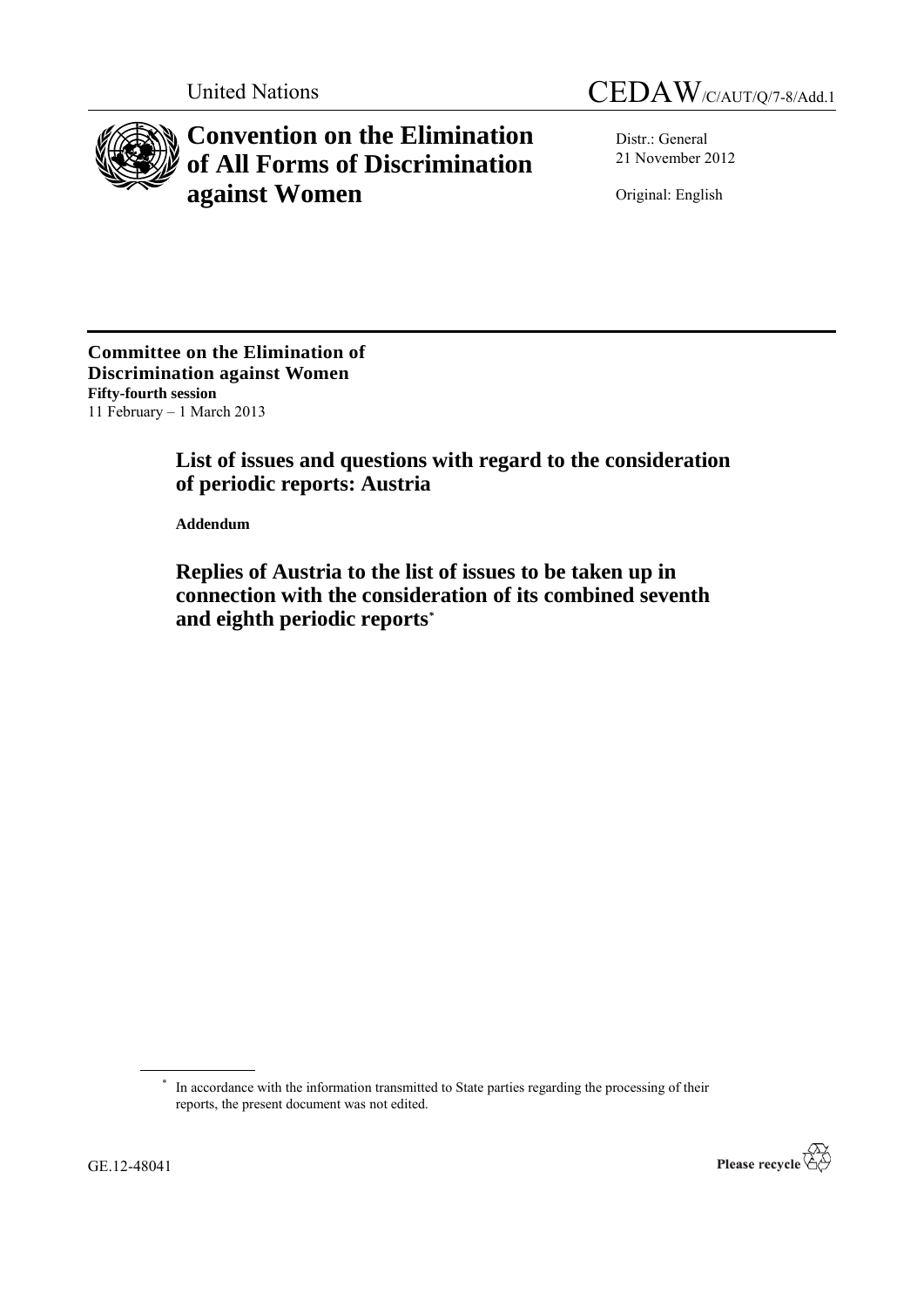



# **Convention on the Elimination of All Forms of Discrimination against Women**

Distr.: General 21 November 2012

Original: English

**Committee on the Elimination of Discrimination against Women Fifty-fourth session** 11 February – 1 March 2013

# **List of issues and questions with regard to the consideration of periodic reports: Austria**

**Addendum**

**Replies of Austria to the list of issues to be taken up in connection with the consideration of its combined seventh and eighth periodic reports***\**

<sup>\*</sup> In accordance with the information transmitted to State parties regarding the processing of their reports, the present document was not edited.

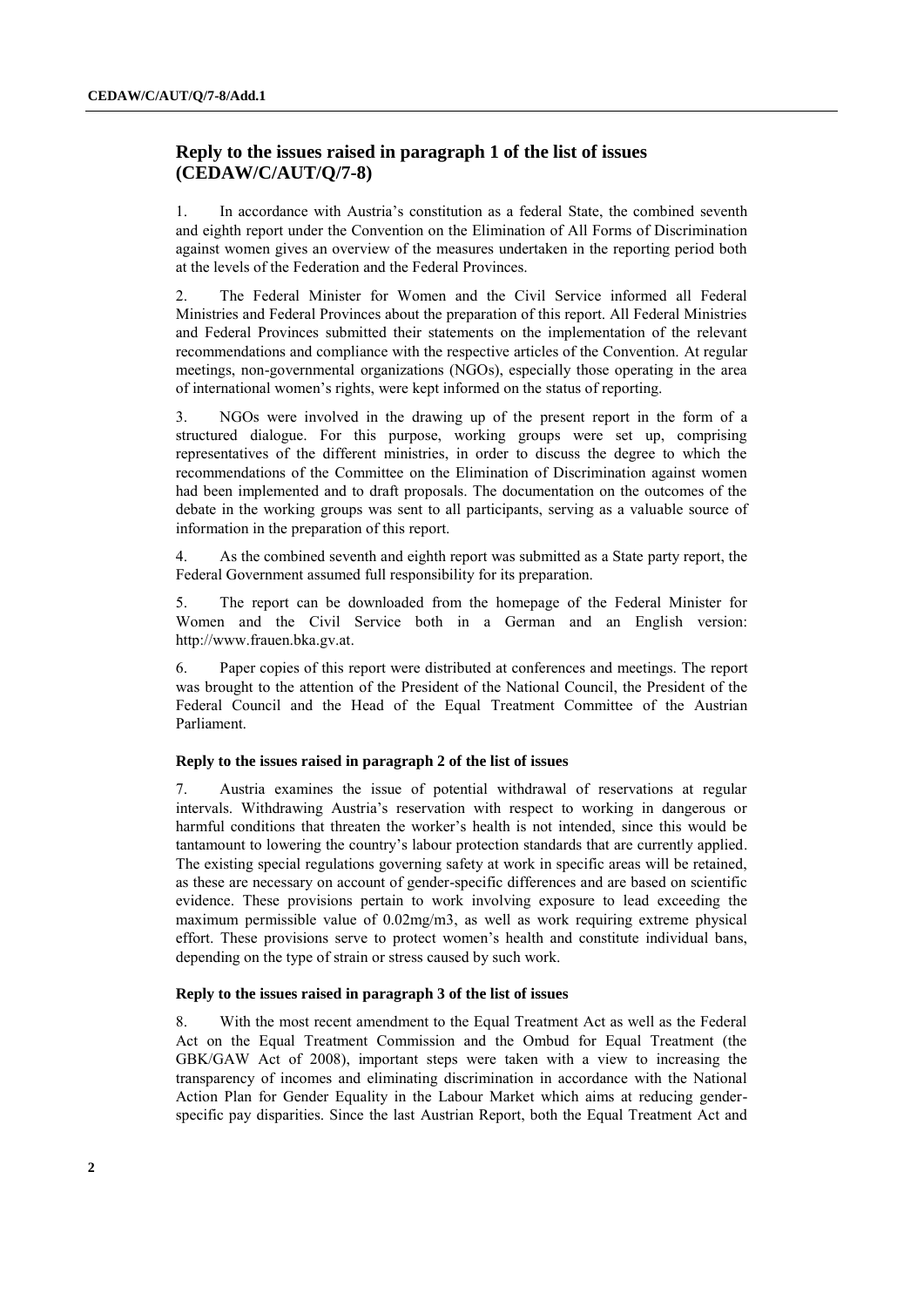# **Reply to the issues raised in paragraph 1 of the list of issues (CEDAW/C/AUT/Q/7-8)**

1. In accordance with Austria"s constitution as a federal State, the combined seventh and eighth report under the Convention on the Elimination of All Forms of Discrimination against women gives an overview of the measures undertaken in the reporting period both at the levels of the Federation and the Federal Provinces.

2. The Federal Minister for Women and the Civil Service informed all Federal Ministries and Federal Provinces about the preparation of this report. All Federal Ministries and Federal Provinces submitted their statements on the implementation of the relevant recommendations and compliance with the respective articles of the Convention. At regular meetings, non-governmental organizations (NGOs), especially those operating in the area of international women"s rights, were kept informed on the status of reporting.

3. NGOs were involved in the drawing up of the present report in the form of a structured dialogue. For this purpose, working groups were set up, comprising representatives of the different ministries, in order to discuss the degree to which the recommendations of the Committee on the Elimination of Discrimination against women had been implemented and to draft proposals. The documentation on the outcomes of the debate in the working groups was sent to all participants, serving as a valuable source of information in the preparation of this report.

4. As the combined seventh and eighth report was submitted as a State party report, the Federal Government assumed full responsibility for its preparation.

5. The report can be downloaded from the homepage of the Federal Minister for Women and the Civil Service both in a German and an English version: [http://www.frauen.bka.gv.at.](http://www.frauen.bka.gv.at/)

6. Paper copies of this report were distributed at conferences and meetings. The report was brought to the attention of the President of the National Council, the President of the Federal Council and the Head of the Equal Treatment Committee of the Austrian Parliament.

# **Reply to the issues raised in paragraph 2 of the list of issues**

7. Austria examines the issue of potential withdrawal of reservations at regular intervals. Withdrawing Austria"s reservation with respect to working in dangerous or harmful conditions that threaten the worker"s health is not intended, since this would be tantamount to lowering the country"s labour protection standards that are currently applied. The existing special regulations governing safety at work in specific areas will be retained, as these are necessary on account of gender-specific differences and are based on scientific evidence. These provisions pertain to work involving exposure to lead exceeding the maximum permissible value of 0.02mg/m3, as well as work requiring extreme physical effort. These provisions serve to protect women"s health and constitute individual bans, depending on the type of strain or stress caused by such work.

#### **Reply to the issues raised in paragraph 3 of the list of issues**

8. With the most recent amendment to the Equal Treatment Act as well as the Federal Act on the Equal Treatment Commission and the Ombud for Equal Treatment (the GBK/GAW Act of 2008), important steps were taken with a view to increasing the transparency of incomes and eliminating discrimination in accordance with the National Action Plan for Gender Equality in the Labour Market which aims at reducing genderspecific pay disparities. Since the last Austrian Report, both the Equal Treatment Act and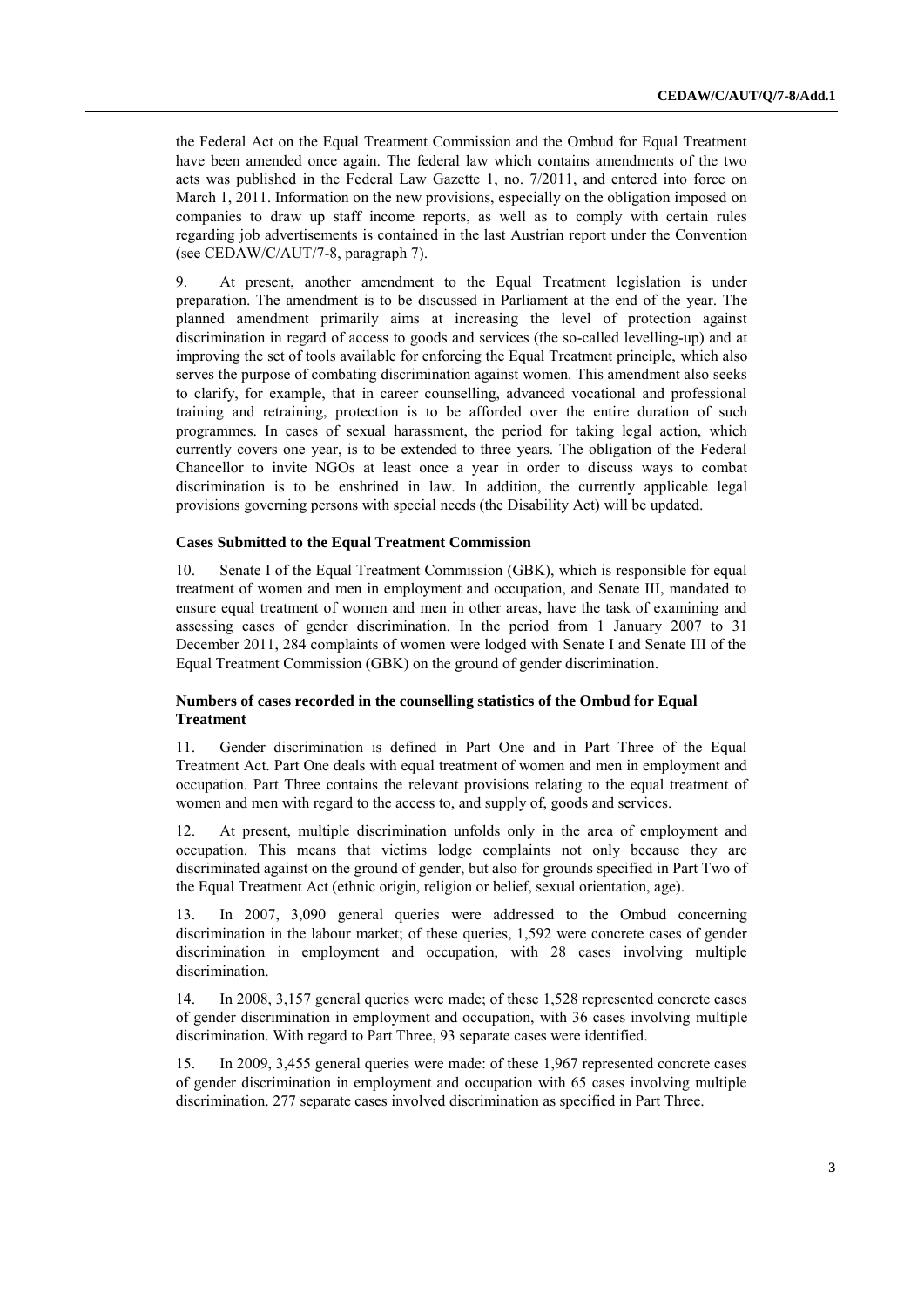the Federal Act on the Equal Treatment Commission and the Ombud for Equal Treatment have been amended once again. The federal law which contains amendments of the two acts was published in the Federal Law Gazette 1, no. 7/2011, and entered into force on March 1, 2011. Information on the new provisions, especially on the obligation imposed on companies to draw up staff income reports, as well as to comply with certain rules regarding job advertisements is contained in the last Austrian report under the Convention (see CEDAW/C/AUT/7-8, paragraph 7).

9. At present, another amendment to the Equal Treatment legislation is under preparation. The amendment is to be discussed in Parliament at the end of the year. The planned amendment primarily aims at increasing the level of protection against discrimination in regard of access to goods and services (the so-called levelling-up) and at improving the set of tools available for enforcing the Equal Treatment principle, which also serves the purpose of combating discrimination against women. This amendment also seeks to clarify, for example, that in career counselling, advanced vocational and professional training and retraining, protection is to be afforded over the entire duration of such programmes. In cases of sexual harassment, the period for taking legal action, which currently covers one year, is to be extended to three years. The obligation of the Federal Chancellor to invite NGOs at least once a year in order to discuss ways to combat discrimination is to be enshrined in law. In addition, the currently applicable legal provisions governing persons with special needs (the Disability Act) will be updated.

#### **Cases Submitted to the Equal Treatment Commission**

10. Senate I of the Equal Treatment Commission (GBK), which is responsible for equal treatment of women and men in employment and occupation, and Senate III, mandated to ensure equal treatment of women and men in other areas, have the task of examining and assessing cases of gender discrimination. In the period from 1 January 2007 to 31 December 2011, 284 complaints of women were lodged with Senate I and Senate III of the Equal Treatment Commission (GBK) on the ground of gender discrimination.

## **Numbers of cases recorded in the counselling statistics of the Ombud for Equal Treatment**

11. Gender discrimination is defined in Part One and in Part Three of the Equal Treatment Act. Part One deals with equal treatment of women and men in employment and occupation. Part Three contains the relevant provisions relating to the equal treatment of women and men with regard to the access to, and supply of, goods and services.

12. At present, multiple discrimination unfolds only in the area of employment and occupation. This means that victims lodge complaints not only because they are discriminated against on the ground of gender, but also for grounds specified in Part Two of the Equal Treatment Act (ethnic origin, religion or belief, sexual orientation, age).

13. In 2007, 3,090 general queries were addressed to the Ombud concerning discrimination in the labour market; of these queries, 1,592 were concrete cases of gender discrimination in employment and occupation, with 28 cases involving multiple discrimination.

14. In 2008, 3,157 general queries were made; of these 1,528 represented concrete cases of gender discrimination in employment and occupation, with 36 cases involving multiple discrimination. With regard to Part Three, 93 separate cases were identified.

15. In 2009, 3,455 general queries were made: of these 1,967 represented concrete cases of gender discrimination in employment and occupation with 65 cases involving multiple discrimination. 277 separate cases involved discrimination as specified in Part Three.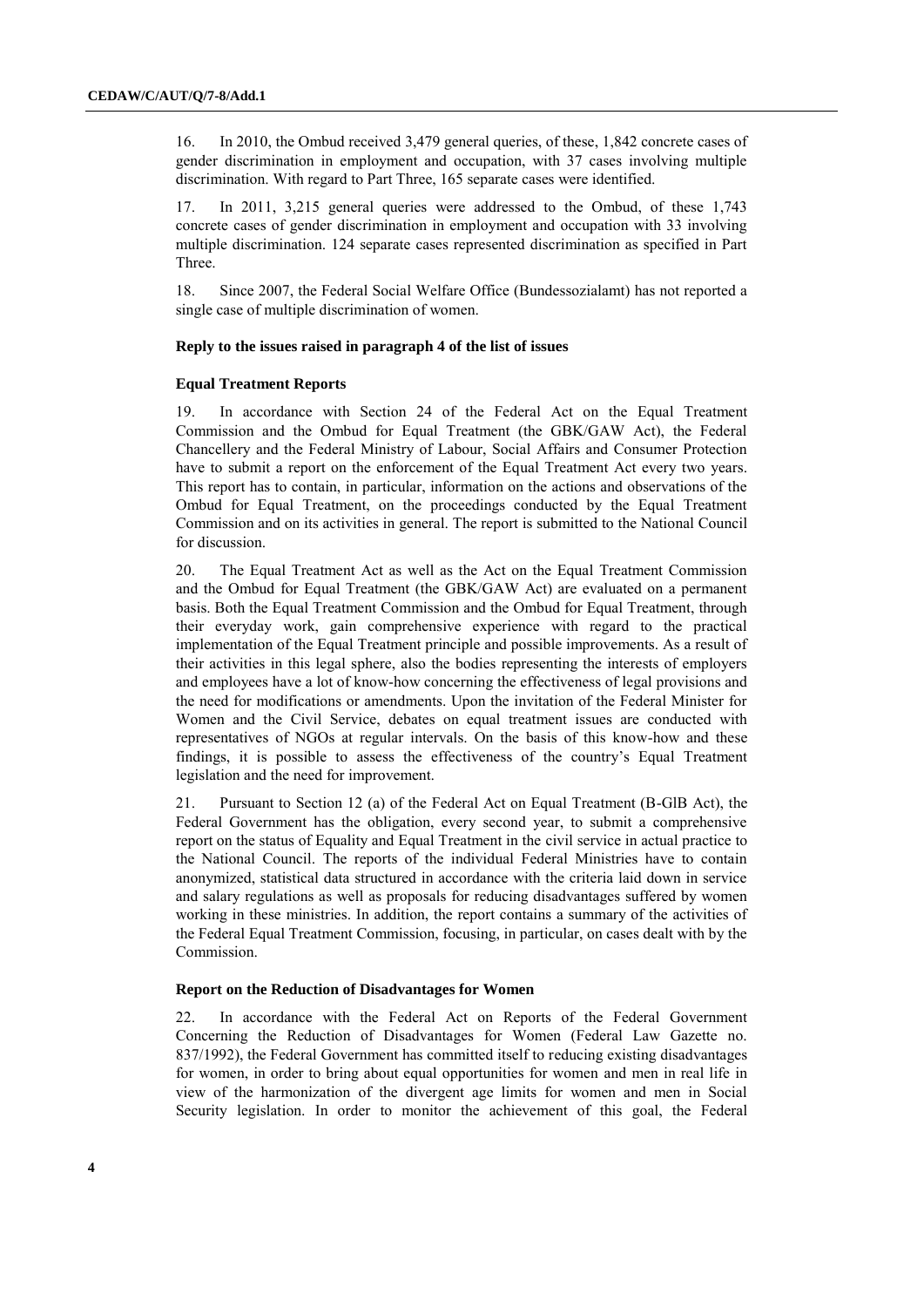16. In 2010, the Ombud received 3,479 general queries, of these, 1,842 concrete cases of gender discrimination in employment and occupation, with 37 cases involving multiple discrimination. With regard to Part Three, 165 separate cases were identified.

17. In 2011, 3,215 general queries were addressed to the Ombud, of these 1,743 concrete cases of gender discrimination in employment and occupation with 33 involving multiple discrimination. 124 separate cases represented discrimination as specified in Part Three.

18. Since 2007, the Federal Social Welfare Office (Bundessozialamt) has not reported a single case of multiple discrimination of women.

### **Reply to the issues raised in paragraph 4 of the list of issues**

#### **Equal Treatment Reports**

19. In accordance with Section 24 of the Federal Act on the Equal Treatment Commission and the Ombud for Equal Treatment (the GBK/GAW Act), the Federal Chancellery and the Federal Ministry of Labour, Social Affairs and Consumer Protection have to submit a report on the enforcement of the Equal Treatment Act every two years. This report has to contain, in particular, information on the actions and observations of the Ombud for Equal Treatment, on the proceedings conducted by the Equal Treatment Commission and on its activities in general. The report is submitted to the National Council for discussion.

20. The Equal Treatment Act as well as the Act on the Equal Treatment Commission and the Ombud for Equal Treatment (the GBK/GAW Act) are evaluated on a permanent basis. Both the Equal Treatment Commission and the Ombud for Equal Treatment, through their everyday work, gain comprehensive experience with regard to the practical implementation of the Equal Treatment principle and possible improvements. As a result of their activities in this legal sphere, also the bodies representing the interests of employers and employees have a lot of know-how concerning the effectiveness of legal provisions and the need for modifications or amendments. Upon the invitation of the Federal Minister for Women and the Civil Service, debates on equal treatment issues are conducted with representatives of NGOs at regular intervals. On the basis of this know-how and these findings, it is possible to assess the effectiveness of the country"s Equal Treatment legislation and the need for improvement.

21. Pursuant to Section 12 (a) of the Federal Act on Equal Treatment (B-GlB Act), the Federal Government has the obligation, every second year, to submit a comprehensive report on the status of Equality and Equal Treatment in the civil service in actual practice to the National Council. The reports of the individual Federal Ministries have to contain anonymized, statistical data structured in accordance with the criteria laid down in service and salary regulations as well as proposals for reducing disadvantages suffered by women working in these ministries. In addition, the report contains a summary of the activities of the Federal Equal Treatment Commission, focusing, in particular, on cases dealt with by the Commission.

#### **Report on the Reduction of Disadvantages for Women**

22. In accordance with the Federal Act on Reports of the Federal Government Concerning the Reduction of Disadvantages for Women (Federal Law Gazette no. 837/1992), the Federal Government has committed itself to reducing existing disadvantages for women, in order to bring about equal opportunities for women and men in real life in view of the harmonization of the divergent age limits for women and men in Social Security legislation. In order to monitor the achievement of this goal, the Federal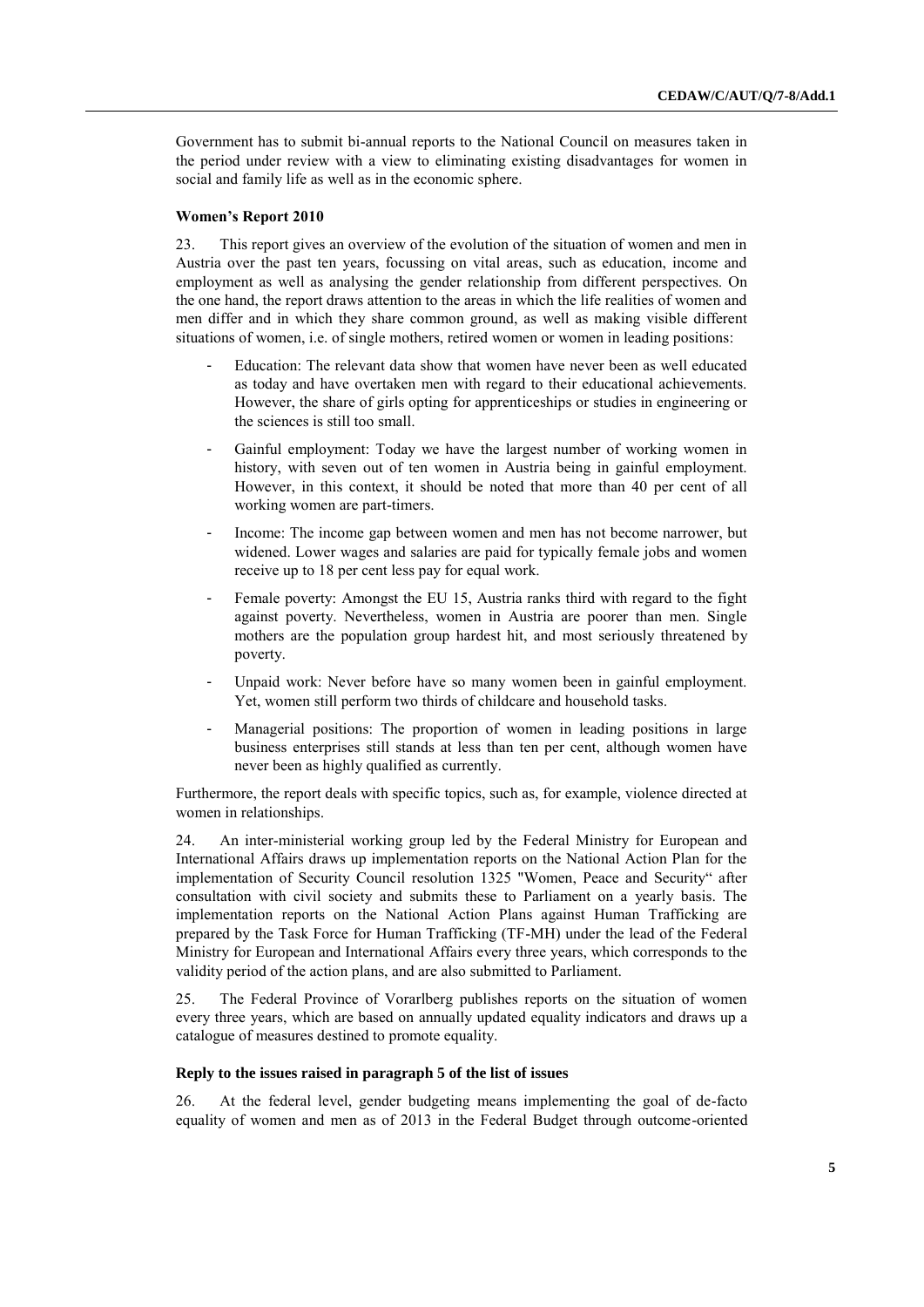Government has to submit bi-annual reports to the National Council on measures taken in the period under review with a view to eliminating existing disadvantages for women in social and family life as well as in the economic sphere.

#### **Women's Report 2010**

23. This report gives an overview of the evolution of the situation of women and men in Austria over the past ten years, focussing on vital areas, such as education, income and employment as well as analysing the gender relationship from different perspectives. On the one hand, the report draws attention to the areas in which the life realities of women and men differ and in which they share common ground, as well as making visible different situations of women, i.e. of single mothers, retired women or women in leading positions:

- Education: The relevant data show that women have never been as well educated as today and have overtaken men with regard to their educational achievements. However, the share of girls opting for apprenticeships or studies in engineering or the sciences is still too small.
- Gainful employment: Today we have the largest number of working women in history, with seven out of ten women in Austria being in gainful employment. However, in this context, it should be noted that more than 40 per cent of all working women are part-timers.
- Income: The income gap between women and men has not become narrower, but widened. Lower wages and salaries are paid for typically female jobs and women receive up to 18 per cent less pay for equal work.
- Female poverty: Amongst the EU 15, Austria ranks third with regard to the fight against poverty. Nevertheless, women in Austria are poorer than men. Single mothers are the population group hardest hit, and most seriously threatened by poverty.
- Unpaid work: Never before have so many women been in gainful employment. Yet, women still perform two thirds of childcare and household tasks.
- Managerial positions: The proportion of women in leading positions in large business enterprises still stands at less than ten per cent, although women have never been as highly qualified as currently.

Furthermore, the report deals with specific topics, such as, for example, violence directed at women in relationships.

24. An inter-ministerial working group led by the Federal Ministry for European and International Affairs draws up implementation reports on the National Action Plan for the implementation of Security Council resolution 1325 "Women, Peace and Security" after consultation with civil society and submits these to Parliament on a yearly basis. The implementation reports on the National Action Plans against Human Trafficking are prepared by the Task Force for Human Trafficking (TF-MH) under the lead of the Federal Ministry for European and International Affairs every three years, which corresponds to the validity period of the action plans, and are also submitted to Parliament.

25. The Federal Province of Vorarlberg publishes reports on the situation of women every three years, which are based on annually updated equality indicators and draws up a catalogue of measures destined to promote equality.

#### **Reply to the issues raised in paragraph 5 of the list of issues**

26. At the federal level, gender budgeting means implementing the goal of de-facto equality of women and men as of 2013 in the Federal Budget through outcome-oriented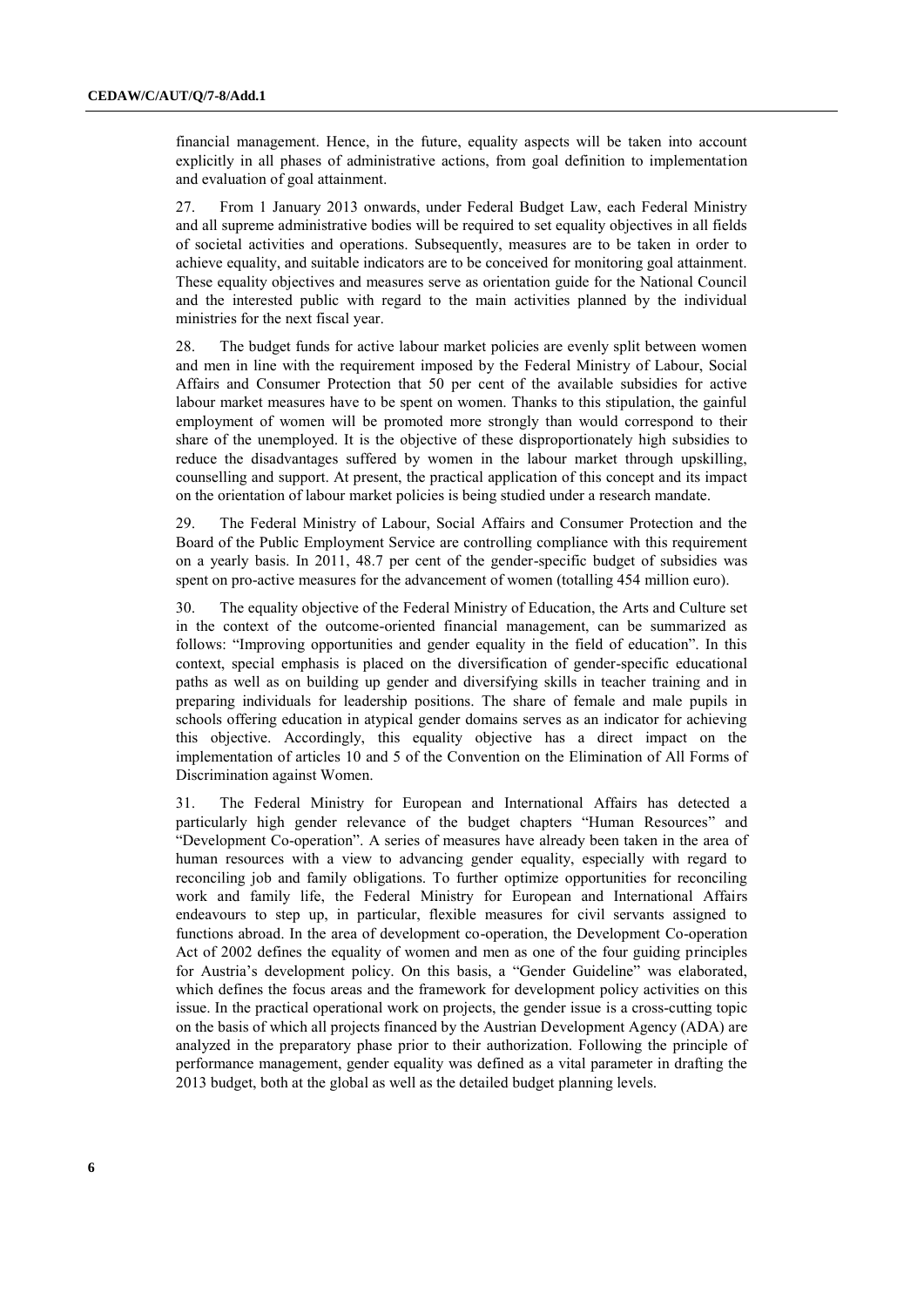financial management. Hence, in the future, equality aspects will be taken into account explicitly in all phases of administrative actions, from goal definition to implementation and evaluation of goal attainment.

27. From 1 January 2013 onwards, under Federal Budget Law, each Federal Ministry and all supreme administrative bodies will be required to set equality objectives in all fields of societal activities and operations. Subsequently, measures are to be taken in order to achieve equality, and suitable indicators are to be conceived for monitoring goal attainment. These equality objectives and measures serve as orientation guide for the National Council and the interested public with regard to the main activities planned by the individual ministries for the next fiscal year.

28. The budget funds for active labour market policies are evenly split between women and men in line with the requirement imposed by the Federal Ministry of Labour, Social Affairs and Consumer Protection that 50 per cent of the available subsidies for active labour market measures have to be spent on women. Thanks to this stipulation, the gainful employment of women will be promoted more strongly than would correspond to their share of the unemployed. It is the objective of these disproportionately high subsidies to reduce the disadvantages suffered by women in the labour market through upskilling, counselling and support. At present, the practical application of this concept and its impact on the orientation of labour market policies is being studied under a research mandate.

29. The Federal Ministry of Labour, Social Affairs and Consumer Protection and the Board of the Public Employment Service are controlling compliance with this requirement on a yearly basis. In 2011, 48.7 per cent of the gender-specific budget of subsidies was spent on pro-active measures for the advancement of women (totalling 454 million euro).

30. The equality objective of the Federal Ministry of Education, the Arts and Culture set in the context of the outcome-oriented financial management, can be summarized as follows: "Improving opportunities and gender equality in the field of education". In this context, special emphasis is placed on the diversification of gender-specific educational paths as well as on building up gender and diversifying skills in teacher training and in preparing individuals for leadership positions. The share of female and male pupils in schools offering education in atypical gender domains serves as an indicator for achieving this objective. Accordingly, this equality objective has a direct impact on the implementation of articles 10 and 5 of the Convention on the Elimination of All Forms of Discrimination against Women.

31. The Federal Ministry for European and International Affairs has detected a particularly high gender relevance of the budget chapters "Human Resources" and "Development Co-operation". A series of measures have already been taken in the area of human resources with a view to advancing gender equality, especially with regard to reconciling job and family obligations. To further optimize opportunities for reconciling work and family life, the Federal Ministry for European and International Affairs endeavours to step up, in particular, flexible measures for civil servants assigned to functions abroad. In the area of development co-operation, the Development Co-operation Act of 2002 defines the equality of women and men as one of the four guiding principles for Austria"s development policy. On this basis, a "Gender Guideline" was elaborated, which defines the focus areas and the framework for development policy activities on this issue. In the practical operational work on projects, the gender issue is a cross-cutting topic on the basis of which all projects financed by the Austrian Development Agency (ADA) are analyzed in the preparatory phase prior to their authorization. Following the principle of performance management, gender equality was defined as a vital parameter in drafting the 2013 budget, both at the global as well as the detailed budget planning levels.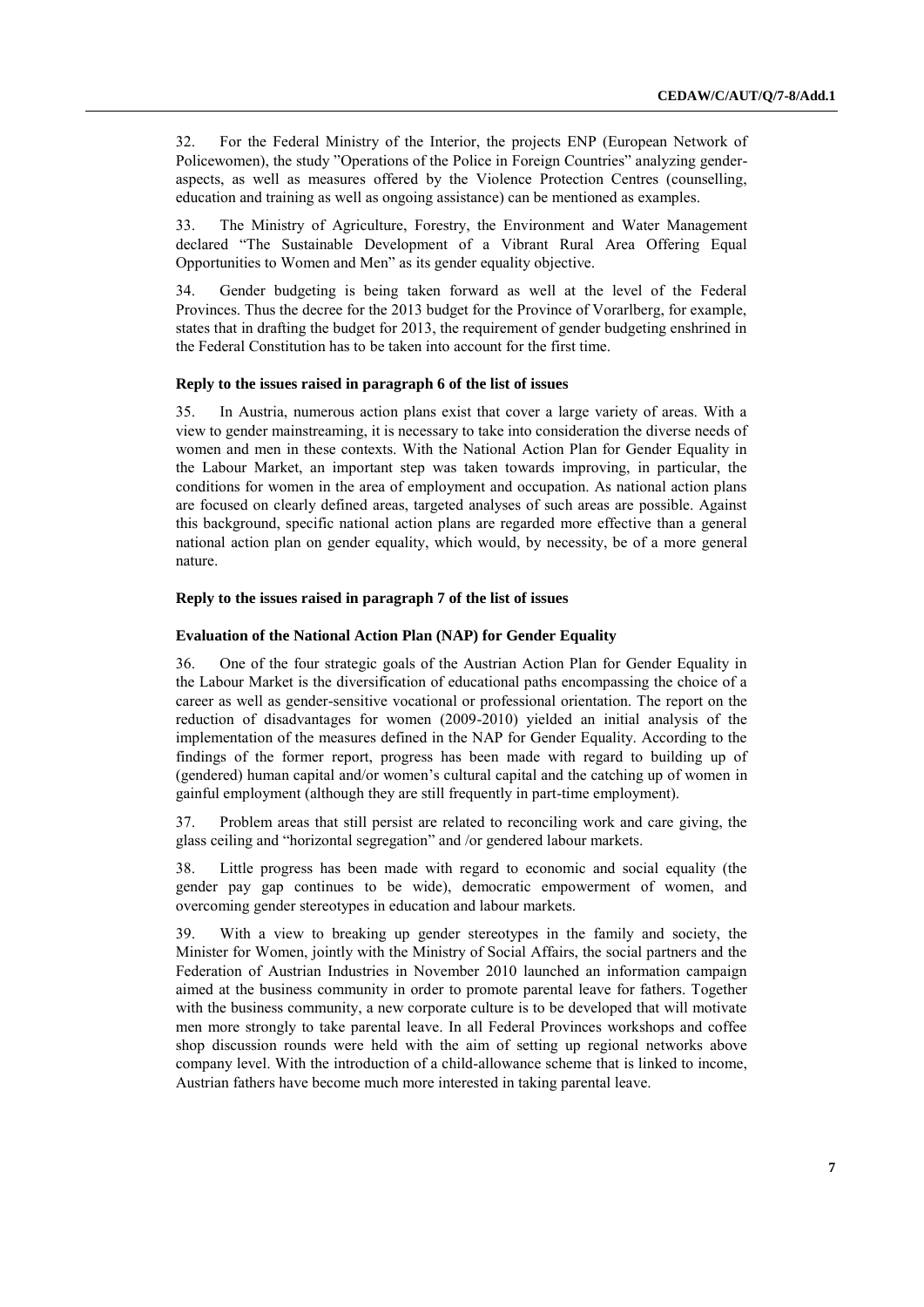32. For the Federal Ministry of the Interior, the projects ENP (European Network of Policewomen), the study "Operations of the Police in Foreign Countries" analyzing genderaspects, as well as measures offered by the Violence Protection Centres (counselling, education and training as well as ongoing assistance) can be mentioned as examples.

33. The Ministry of Agriculture, Forestry, the Environment and Water Management declared "The Sustainable Development of a Vibrant Rural Area Offering Equal Opportunities to Women and Men" as its gender equality objective.

34. Gender budgeting is being taken forward as well at the level of the Federal Provinces. Thus the decree for the 2013 budget for the Province of Vorarlberg, for example, states that in drafting the budget for 2013, the requirement of gender budgeting enshrined in the Federal Constitution has to be taken into account for the first time.

#### **Reply to the issues raised in paragraph 6 of the list of issues**

35. In Austria, numerous action plans exist that cover a large variety of areas. With a view to gender mainstreaming, it is necessary to take into consideration the diverse needs of women and men in these contexts. With the National Action Plan for Gender Equality in the Labour Market, an important step was taken towards improving, in particular, the conditions for women in the area of employment and occupation. As national action plans are focused on clearly defined areas, targeted analyses of such areas are possible. Against this background, specific national action plans are regarded more effective than a general national action plan on gender equality, which would, by necessity, be of a more general nature.

#### **Reply to the issues raised in paragraph 7 of the list of issues**

#### **Evaluation of the National Action Plan (NAP) for Gender Equality**

36. One of the four strategic goals of the Austrian Action Plan for Gender Equality in the Labour Market is the diversification of educational paths encompassing the choice of a career as well as gender-sensitive vocational or professional orientation. The report on the reduction of disadvantages for women (2009-2010) yielded an initial analysis of the implementation of the measures defined in the NAP for Gender Equality. According to the findings of the former report, progress has been made with regard to building up of (gendered) human capital and/or women"s cultural capital and the catching up of women in gainful employment (although they are still frequently in part-time employment).

37. Problem areas that still persist are related to reconciling work and care giving, the glass ceiling and "horizontal segregation" and /or gendered labour markets.

38. Little progress has been made with regard to economic and social equality (the gender pay gap continues to be wide), democratic empowerment of women, and overcoming gender stereotypes in education and labour markets.

39. With a view to breaking up gender stereotypes in the family and society, the Minister for Women, jointly with the Ministry of Social Affairs, the social partners and the Federation of Austrian Industries in November 2010 launched an information campaign aimed at the business community in order to promote parental leave for fathers. Together with the business community, a new corporate culture is to be developed that will motivate men more strongly to take parental leave. In all Federal Provinces workshops and coffee shop discussion rounds were held with the aim of setting up regional networks above company level. With the introduction of a child-allowance scheme that is linked to income, Austrian fathers have become much more interested in taking parental leave.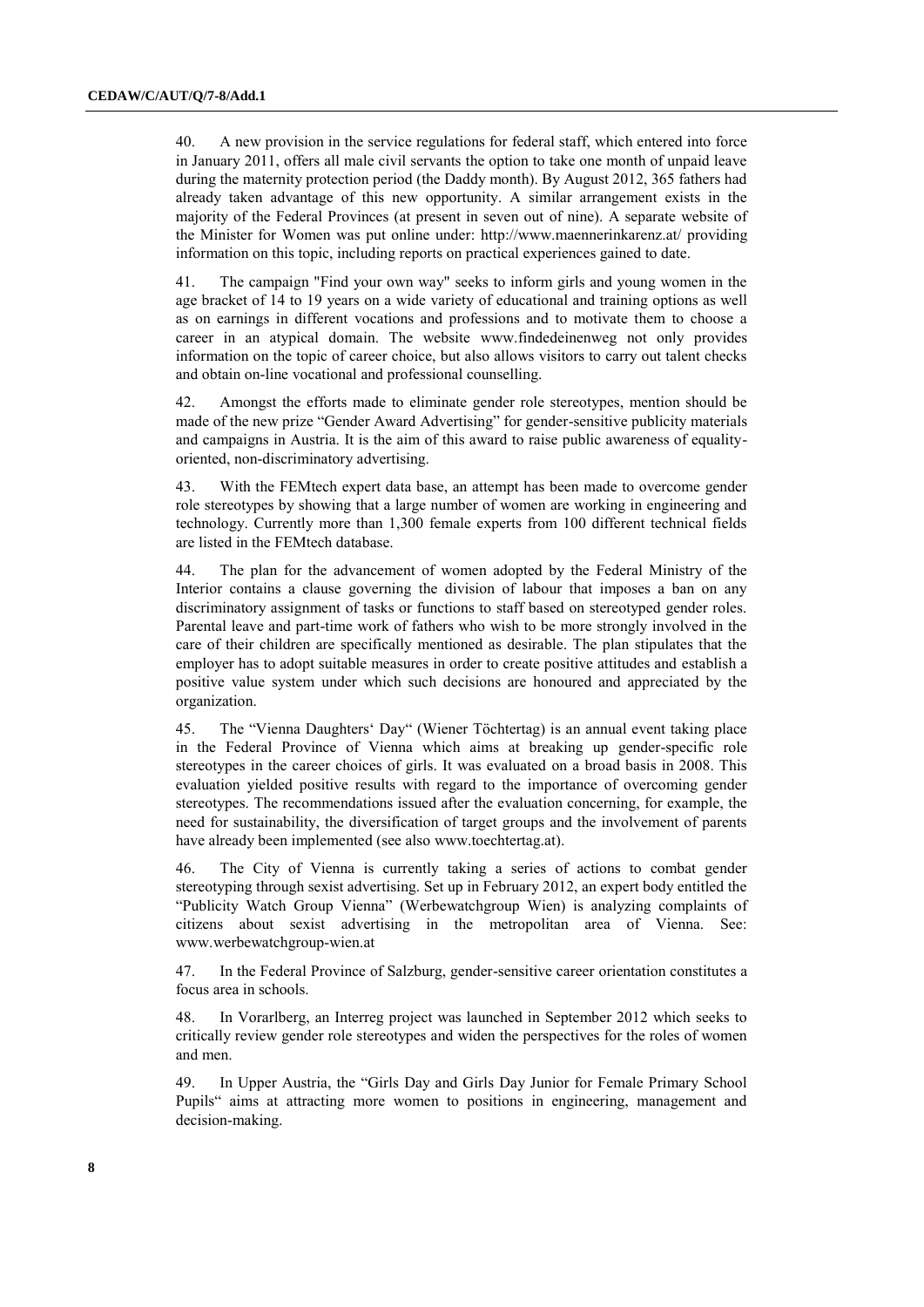40. A new provision in the service regulations for federal staff, which entered into force in January 2011, offers all male civil servants the option to take one month of unpaid leave during the maternity protection period (the Daddy month). By August 2012, 365 fathers had already taken advantage of this new opportunity. A similar arrangement exists in the majority of the Federal Provinces (at present in seven out of nine). A separate website of the Minister for Women was put online under:<http://www.maennerinkarenz.at/> providing information on this topic, including reports on practical experiences gained to date.

41. The campaign "Find your own way" seeks to inform girls and young women in the age bracket of 14 to 19 years on a wide variety of educational and training options as well as on earnings in different vocations and professions and to motivate them to choose a career in an atypical domain. The website [www.findedeinenweg](http://www.findedeinenweg/) not only provides information on the topic of career choice, but also allows visitors to carry out talent checks and obtain on-line vocational and professional counselling.

42. Amongst the efforts made to eliminate gender role stereotypes, mention should be made of the new prize "Gender Award Advertising" for gender-sensitive publicity materials and campaigns in Austria. It is the aim of this award to raise public awareness of equalityoriented, non-discriminatory advertising.

43. With the FEMtech expert data base, an attempt has been made to overcome gender role stereotypes by showing that a large number of women are working in engineering and technology. Currently more than 1,300 female experts from 100 different technical fields are listed in the FEMtech database.

44. The plan for the advancement of women adopted by the Federal Ministry of the Interior contains a clause governing the division of labour that imposes a ban on any discriminatory assignment of tasks or functions to staff based on stereotyped gender roles. Parental leave and part-time work of fathers who wish to be more strongly involved in the care of their children are specifically mentioned as desirable. The plan stipulates that the employer has to adopt suitable measures in order to create positive attitudes and establish a positive value system under which such decisions are honoured and appreciated by the organization.

45. The "Vienna Daughters" Day" (Wiener Töchtertag) is an annual event taking place in the Federal Province of Vienna which aims at breaking up gender-specific role stereotypes in the career choices of girls. It was evaluated on a broad basis in 2008. This evaluation yielded positive results with regard to the importance of overcoming gender stereotypes. The recommendations issued after the evaluation concerning, for example, the need for sustainability, the diversification of target groups and the involvement of parents have already been implemented (see also [www.toechtertag.at\)](file://pwfsvie01.intern.bka.gv.at/../Users/niajac/AppData/Local/Temp/fsc.client/dav/www.toechtertag.at).

46. The City of Vienna is currently taking a series of actions to combat gender stereotyping through sexist advertising. Set up in February 2012, an expert body entitled the "Publicity Watch Group Vienna" (Werbewatchgroup Wien) is analyzing complaints of citizens about sexist advertising in the metropolitan area of Vienna. See: [www.werbewatchgroup-wien.at](file://pwfsvie01.intern.bka.gv.at/../Users/niajac/AppData/Local/Temp/fsc.client/dav/www.werbewatchgroup-wien.at)

47. In the Federal Province of Salzburg, gender-sensitive career orientation constitutes a focus area in schools.

48. In Vorarlberg, an Interreg project was launched in September 2012 which seeks to critically review gender role stereotypes and widen the perspectives for the roles of women and men.

49. In Upper Austria, the "Girls Day and Girls Day Junior for Female Primary School Pupils" aims at attracting more women to positions in engineering, management and decision-making.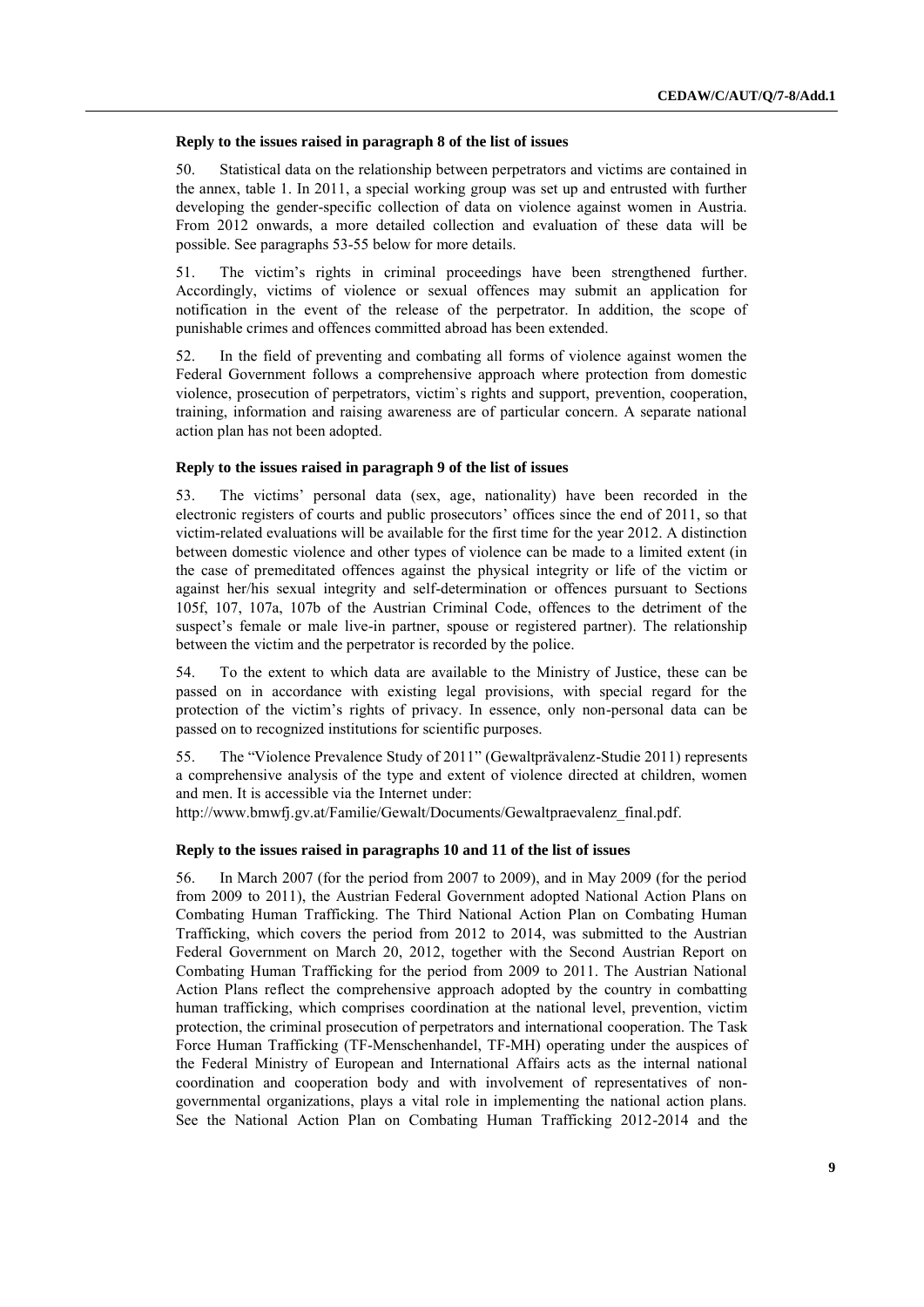#### **Reply to the issues raised in paragraph 8 of the list of issues**

50. Statistical data on the relationship between perpetrators and victims are contained in the annex, table 1. In 2011, a special working group was set up and entrusted with further developing the gender-specific collection of data on violence against women in Austria. From 2012 onwards, a more detailed collection and evaluation of these data will be possible. See paragraphs 53-55 below for more details.

51. The victim"s rights in criminal proceedings have been strengthened further. Accordingly, victims of violence or sexual offences may submit an application for notification in the event of the release of the perpetrator. In addition, the scope of punishable crimes and offences committed abroad has been extended.

52. In the field of preventing and combating all forms of violence against women the Federal Government follows a comprehensive approach where protection from domestic violence, prosecution of perpetrators, victim`s rights and support, prevention, cooperation, training, information and raising awareness are of particular concern. A separate national action plan has not been adopted.

#### **Reply to the issues raised in paragraph 9 of the list of issues**

53. The victims" personal data (sex, age, nationality) have been recorded in the electronic registers of courts and public prosecutors" offices since the end of 2011, so that victim-related evaluations will be available for the first time for the year 2012. A distinction between domestic violence and other types of violence can be made to a limited extent (in the case of premeditated offences against the physical integrity or life of the victim or against her/his sexual integrity and self-determination or offences pursuant to Sections 105f, 107, 107a, 107b of the Austrian Criminal Code, offences to the detriment of the suspect's female or male live-in partner, spouse or registered partner). The relationship between the victim and the perpetrator is recorded by the police.

54. To the extent to which data are available to the Ministry of Justice, these can be passed on in accordance with existing legal provisions, with special regard for the protection of the victim"s rights of privacy. In essence, only non-personal data can be passed on to recognized institutions for scientific purposes.

55. The "Violence Prevalence Study of 2011" (Gewaltprävalenz-Studie 2011) represents a comprehensive analysis of the type and extent of violence directed at children, women and men. It is accessible via the Internet under:

[http://www.bmwfj.gv.at/Familie/Gewalt/Documents/Gewaltpraevalenz\\_final.pdf.](http://www.bmwfj.gv.at/Familie/Gewalt/Documents/Gewaltpraevalenz_final.pdf)

#### **Reply to the issues raised in paragraphs 10 and 11 of the list of issues**

56. In March 2007 (for the period from 2007 to 2009), and in May 2009 (for the period from 2009 to 2011), the Austrian Federal Government adopted National Action Plans on Combating Human Trafficking. The Third National Action Plan on Combating Human Trafficking, which covers the period from 2012 to 2014, was submitted to the Austrian Federal Government on March 20, 2012, together with the Second Austrian Report on Combating Human Trafficking for the period from 2009 to 2011. The Austrian National Action Plans reflect the comprehensive approach adopted by the country in combatting human trafficking, which comprises coordination at the national level, prevention, victim protection, the criminal prosecution of perpetrators and international cooperation. The Task Force Human Trafficking (TF-Menschenhandel, TF-MH) operating under the auspices of the Federal Ministry of European and International Affairs acts as the internal national coordination and cooperation body and with involvement of representatives of nongovernmental organizations, plays a vital role in implementing the national action plans. See the National Action Plan on Combating Human Trafficking 2012-2014 and the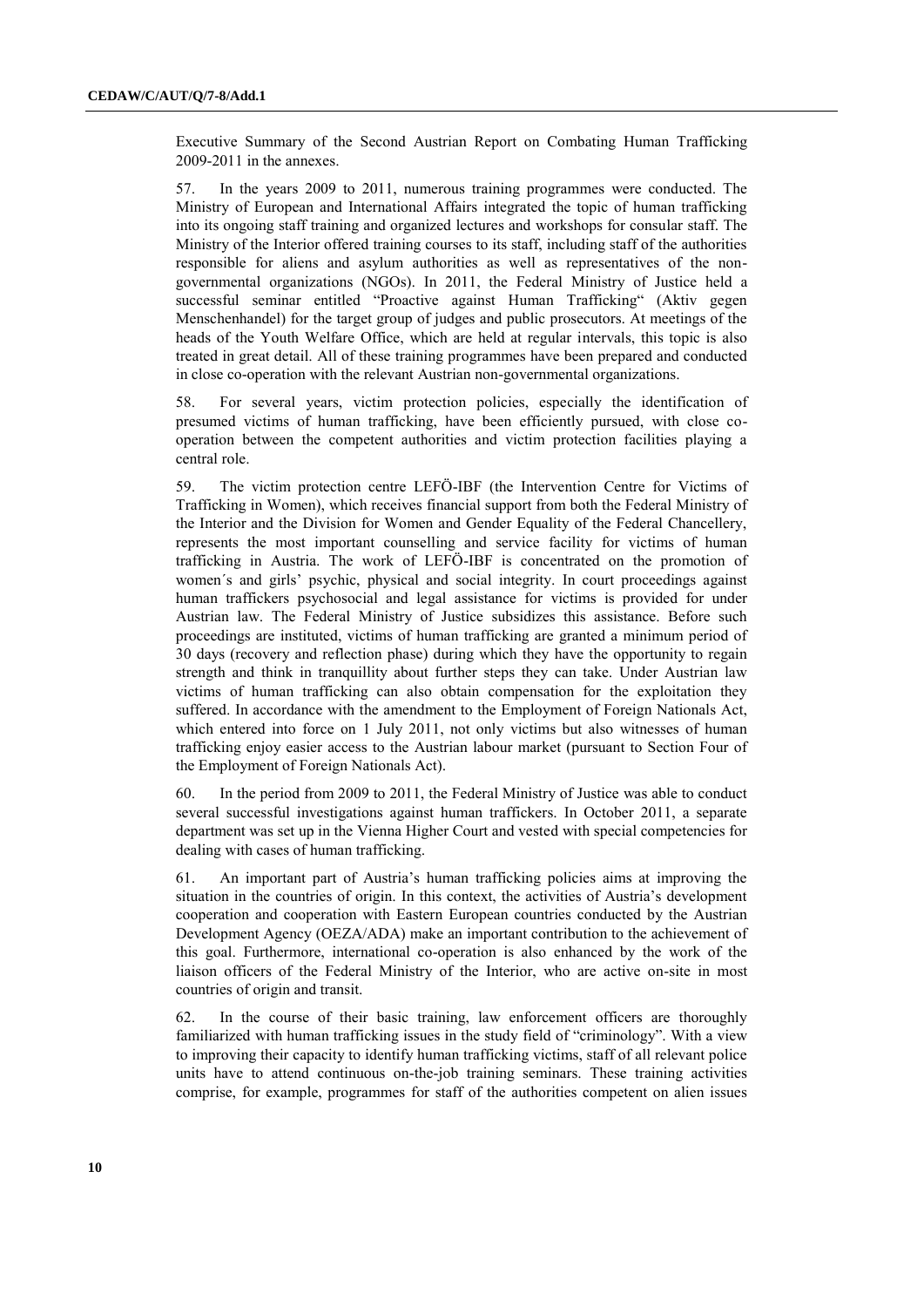Executive Summary of the Second Austrian Report on Combating Human Trafficking 2009-2011 in the annexes.

57. In the years 2009 to 2011, numerous training programmes were conducted. The Ministry of European and International Affairs integrated the topic of human trafficking into its ongoing staff training and organized lectures and workshops for consular staff. The Ministry of the Interior offered training courses to its staff, including staff of the authorities responsible for aliens and asylum authorities as well as representatives of the nongovernmental organizations (NGOs). In 2011, the Federal Ministry of Justice held a successful seminar entitled "Proactive against Human Trafficking" (Aktiv gegen Menschenhandel) for the target group of judges and public prosecutors. At meetings of the heads of the Youth Welfare Office, which are held at regular intervals, this topic is also treated in great detail. All of these training programmes have been prepared and conducted in close co-operation with the relevant Austrian non-governmental organizations.

58. For several years, victim protection policies, especially the identification of presumed victims of human trafficking, have been efficiently pursued, with close cooperation between the competent authorities and victim protection facilities playing a central role.

59. The victim protection centre LEFÖ-IBF (the Intervention Centre for Victims of Trafficking in Women), which receives financial support from both the Federal Ministry of the Interior and the Division for Women and Gender Equality of the Federal Chancellery, represents the most important counselling and service facility for victims of human trafficking in Austria. The work of LEFÖ-IBF is concentrated on the promotion of women's and girls' psychic, physical and social integrity. In court proceedings against human traffickers psychosocial and legal assistance for victims is provided for under Austrian law. The Federal Ministry of Justice subsidizes this assistance. Before such proceedings are instituted, victims of human trafficking are granted a minimum period of 30 days (recovery and reflection phase) during which they have the opportunity to regain strength and think in tranquillity about further steps they can take. Under Austrian law victims of human trafficking can also obtain compensation for the exploitation they suffered. In accordance with the amendment to the Employment of Foreign Nationals Act, which entered into force on 1 July 2011, not only victims but also witnesses of human trafficking enjoy easier access to the Austrian labour market (pursuant to Section Four of the Employment of Foreign Nationals Act).

60. In the period from 2009 to 2011, the Federal Ministry of Justice was able to conduct several successful investigations against human traffickers. In October 2011, a separate department was set up in the Vienna Higher Court and vested with special competencies for dealing with cases of human trafficking.

61. An important part of Austria"s human trafficking policies aims at improving the situation in the countries of origin. In this context, the activities of Austria's development cooperation and cooperation with Eastern European countries conducted by the Austrian Development Agency (OEZA/ADA) make an important contribution to the achievement of this goal. Furthermore, international co-operation is also enhanced by the work of the liaison officers of the Federal Ministry of the Interior, who are active on-site in most countries of origin and transit.

62. In the course of their basic training, law enforcement officers are thoroughly familiarized with human trafficking issues in the study field of "criminology". With a view to improving their capacity to identify human trafficking victims, staff of all relevant police units have to attend continuous on-the-job training seminars. These training activities comprise, for example, programmes for staff of the authorities competent on alien issues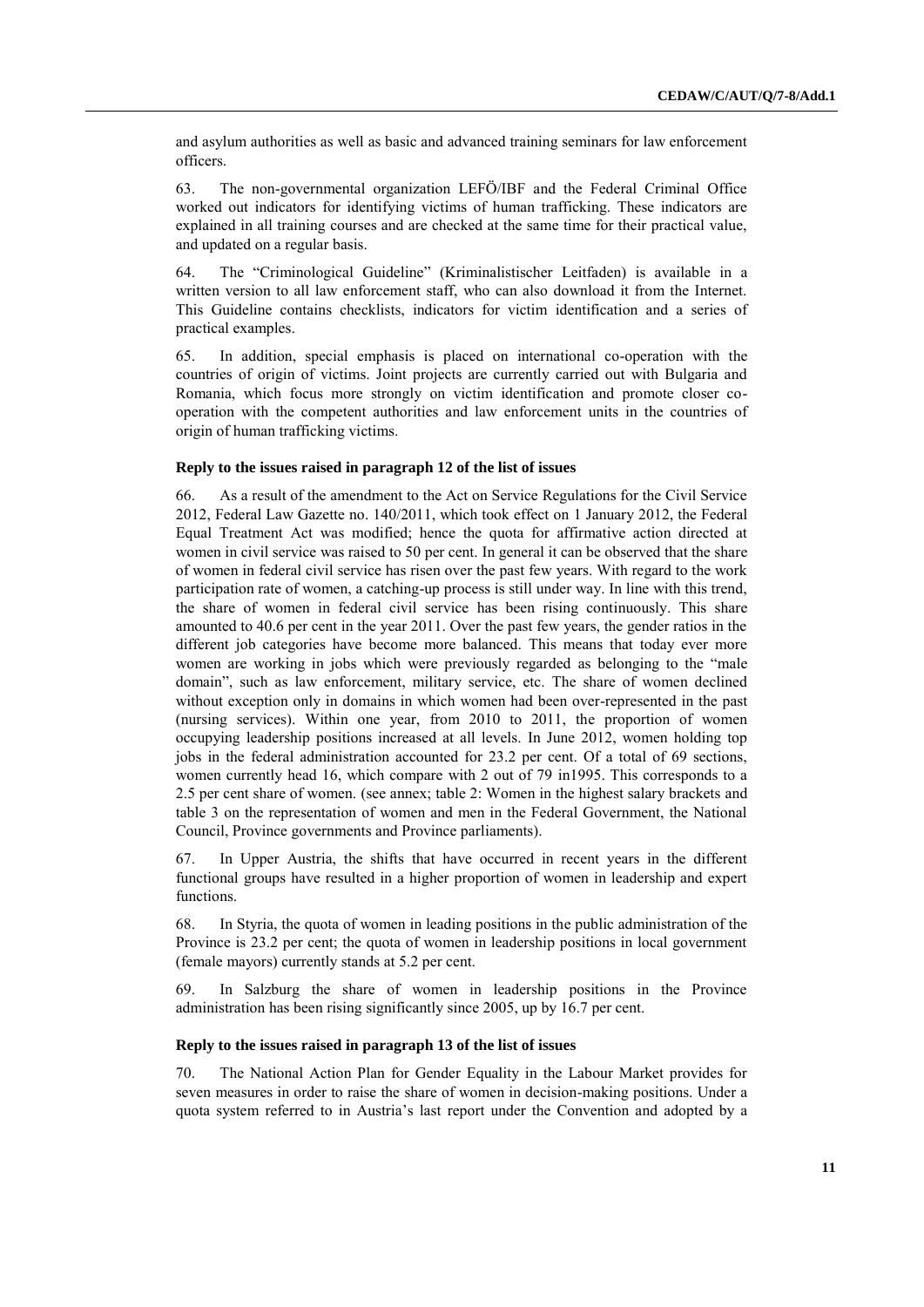and asylum authorities as well as basic and advanced training seminars for law enforcement officers.

63. The non-governmental organization LEFÖ/IBF and the Federal Criminal Office worked out indicators for identifying victims of human trafficking. These indicators are explained in all training courses and are checked at the same time for their practical value, and updated on a regular basis.

64. The "Criminological Guideline" (Kriminalistischer Leitfaden) is available in a written version to all law enforcement staff, who can also download it from the Internet. This Guideline contains checklists, indicators for victim identification and a series of practical examples.

65. In addition, special emphasis is placed on international co-operation with the countries of origin of victims. Joint projects are currently carried out with Bulgaria and Romania, which focus more strongly on victim identification and promote closer cooperation with the competent authorities and law enforcement units in the countries of origin of human trafficking victims.

## **Reply to the issues raised in paragraph 12 of the list of issues**

66. As a result of the amendment to the Act on Service Regulations for the Civil Service 2012, Federal Law Gazette no. 140/2011, which took effect on 1 January 2012, the Federal Equal Treatment Act was modified; hence the quota for affirmative action directed at women in civil service was raised to 50 per cent. In general it can be observed that the share of women in federal civil service has risen over the past few years. With regard to the work participation rate of women, a catching-up process is still under way. In line with this trend, the share of women in federal civil service has been rising continuously. This share amounted to 40.6 per cent in the year 2011. Over the past few years, the gender ratios in the different job categories have become more balanced. This means that today ever more women are working in jobs which were previously regarded as belonging to the "male domain", such as law enforcement, military service, etc. The share of women declined without exception only in domains in which women had been over-represented in the past (nursing services). Within one year, from 2010 to 2011, the proportion of women occupying leadership positions increased at all levels. In June 2012, women holding top jobs in the federal administration accounted for 23.2 per cent. Of a total of 69 sections, women currently head 16, which compare with 2 out of 79 in1995. This corresponds to a 2.5 per cent share of women. (see annex; table 2: Women in the highest salary brackets and table 3 on the representation of women and men in the Federal Government, the National Council, Province governments and Province parliaments).

67. In Upper Austria, the shifts that have occurred in recent years in the different functional groups have resulted in a higher proportion of women in leadership and expert functions.

68. In Styria, the quota of women in leading positions in the public administration of the Province is 23.2 per cent; the quota of women in leadership positions in local government (female mayors) currently stands at 5.2 per cent.

69. In Salzburg the share of women in leadership positions in the Province administration has been rising significantly since 2005, up by 16.7 per cent.

# **Reply to the issues raised in paragraph 13 of the list of issues**

70. The National Action Plan for Gender Equality in the Labour Market provides for seven measures in order to raise the share of women in decision-making positions. Under a quota system referred to in Austria's last report under the Convention and adopted by a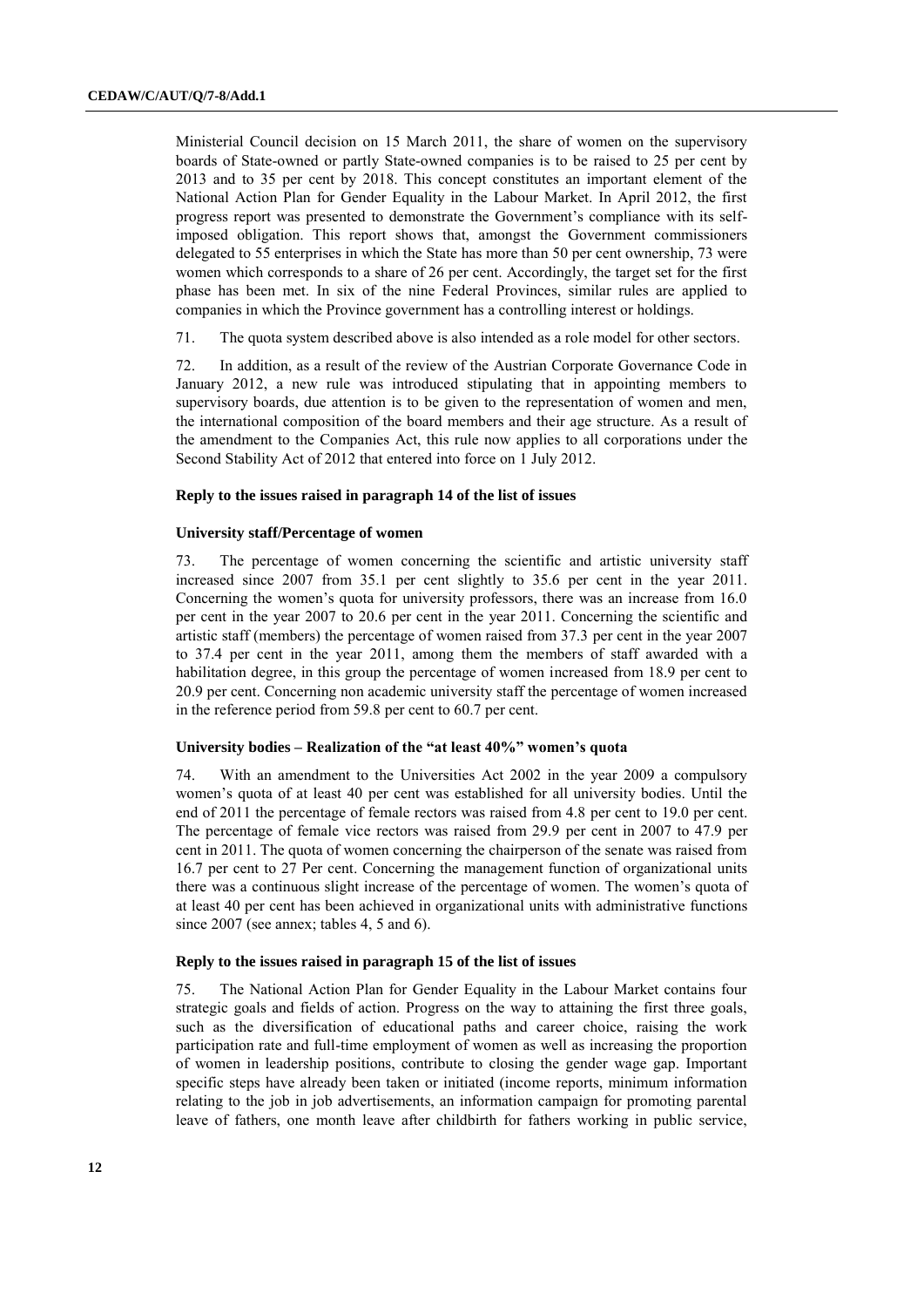Ministerial Council decision on 15 March 2011, the share of women on the supervisory boards of State-owned or partly State-owned companies is to be raised to 25 per cent by 2013 and to 35 per cent by 2018. This concept constitutes an important element of the National Action Plan for Gender Equality in the Labour Market. In April 2012, the first progress report was presented to demonstrate the Government"s compliance with its selfimposed obligation. This report shows that, amongst the Government commissioners delegated to 55 enterprises in which the State has more than 50 per cent ownership, 73 were women which corresponds to a share of 26 per cent. Accordingly, the target set for the first phase has been met. In six of the nine Federal Provinces, similar rules are applied to companies in which the Province government has a controlling interest or holdings.

71. The quota system described above is also intended as a role model for other sectors.

72. In addition, as a result of the review of the Austrian Corporate Governance Code in January 2012, a new rule was introduced stipulating that in appointing members to supervisory boards, due attention is to be given to the representation of women and men, the international composition of the board members and their age structure. As a result of the amendment to the Companies Act, this rule now applies to all corporations under the Second Stability Act of 2012 that entered into force on 1 July 2012.

#### **Reply to the issues raised in paragraph 14 of the list of issues**

#### **University staff/Percentage of women**

73. The percentage of women concerning the scientific and artistic university staff increased since 2007 from 35.1 per cent slightly to 35.6 per cent in the year 2011. Concerning the women's quota for university professors, there was an increase from 16.0 per cent in the year 2007 to 20.6 per cent in the year 2011. Concerning the scientific and artistic staff (members) the percentage of women raised from 37.3 per cent in the year 2007 to 37.4 per cent in the year 2011, among them the members of staff awarded with a habilitation degree, in this group the percentage of women increased from 18.9 per cent to 20.9 per cent. Concerning non academic university staff the percentage of women increased in the reference period from 59.8 per cent to 60.7 per cent.

#### **University bodies – Realization of the "at least 40%" women's quota**

74. With an amendment to the Universities Act 2002 in the year 2009 a compulsory women"s quota of at least 40 per cent was established for all university bodies. Until the end of 2011 the percentage of female rectors was raised from 4.8 per cent to 19.0 per cent. The percentage of female vice rectors was raised from 29.9 per cent in 2007 to 47.9 per cent in 2011. The quota of women concerning the chairperson of the senate was raised from 16.7 per cent to 27 Per cent. Concerning the management function of organizational units there was a continuous slight increase of the percentage of women. The women"s quota of at least 40 per cent has been achieved in organizational units with administrative functions since 2007 (see annex; tables 4, 5 and 6).

#### **Reply to the issues raised in paragraph 15 of the list of issues**

75. The National Action Plan for Gender Equality in the Labour Market contains four strategic goals and fields of action. Progress on the way to attaining the first three goals, such as the diversification of educational paths and career choice, raising the work participation rate and full-time employment of women as well as increasing the proportion of women in leadership positions, contribute to closing the gender wage gap. Important specific steps have already been taken or initiated (income reports, minimum information relating to the job in job advertisements, an information campaign for promoting parental leave of fathers, one month leave after childbirth for fathers working in public service,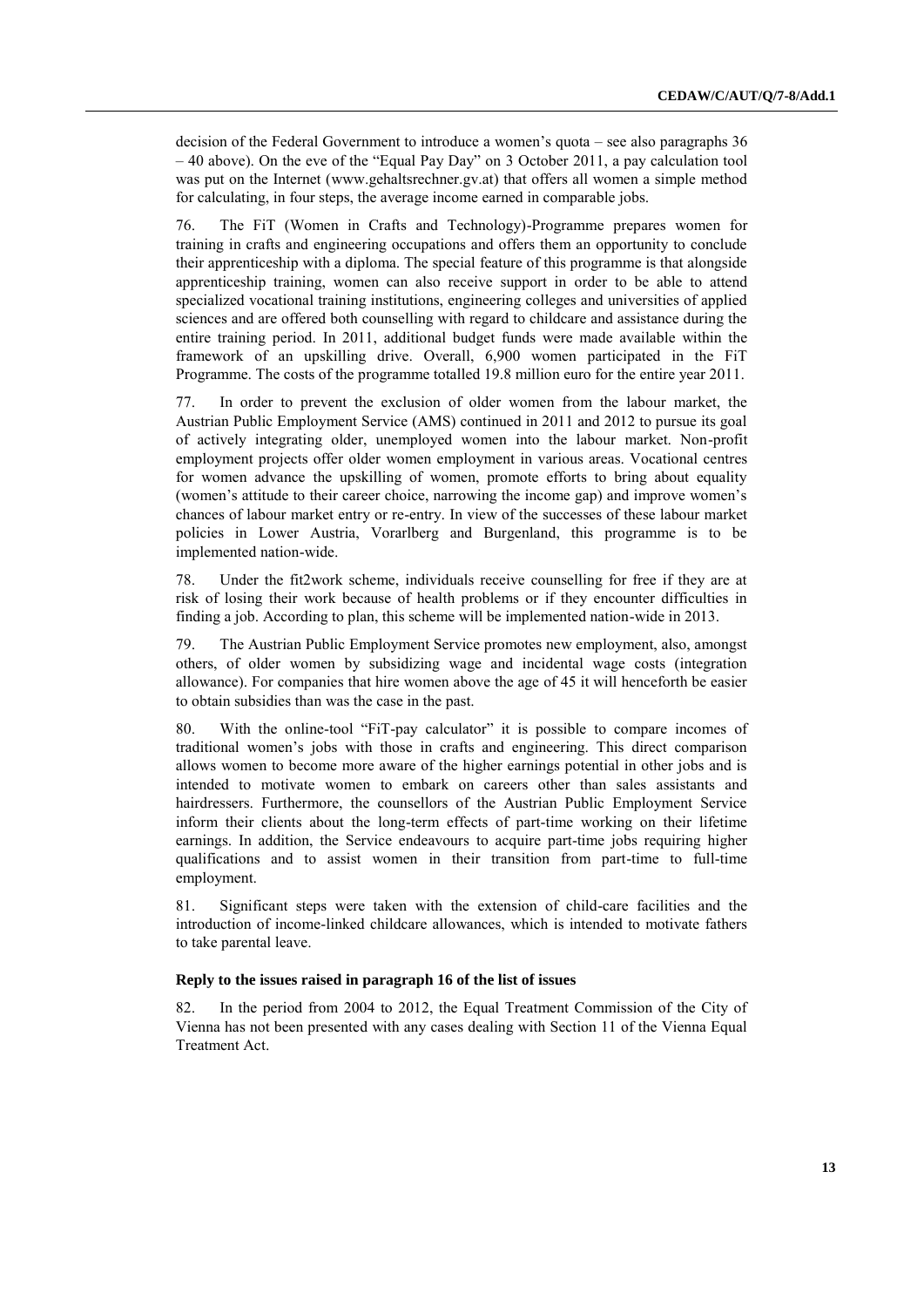decision of the Federal Government to introduce a women"s quota – see also paragraphs 36 – 40 above). On the eve of the "Equal Pay Day" on 3 October 2011, a pay calculation tool was put on the Internet [\(www.gehaltsrechner.gv.at\)](file://pwfsvie01.intern.bka.gv.at/../Users/niajac/AppData/Local/Temp/fsc.client/dav/www.gehaltsrechner.gv.at) that offers all women a simple method for calculating, in four steps, the average income earned in comparable jobs.

76. The FiT (Women in Crafts and Technology)-Programme prepares women for training in crafts and engineering occupations and offers them an opportunity to conclude their apprenticeship with a diploma. The special feature of this programme is that alongside apprenticeship training, women can also receive support in order to be able to attend specialized vocational training institutions, engineering colleges and universities of applied sciences and are offered both counselling with regard to childcare and assistance during the entire training period. In 2011, additional budget funds were made available within the framework of an upskilling drive. Overall, 6,900 women participated in the FiT Programme. The costs of the programme totalled 19.8 million euro for the entire year 2011.

77. In order to prevent the exclusion of older women from the labour market, the Austrian Public Employment Service (AMS) continued in 2011 and 2012 to pursue its goal of actively integrating older, unemployed women into the labour market. Non-profit employment projects offer older women employment in various areas. Vocational centres for women advance the upskilling of women, promote efforts to bring about equality (women's attitude to their career choice, narrowing the income gap) and improve women's chances of labour market entry or re-entry. In view of the successes of these labour market policies in Lower Austria, Vorarlberg and Burgenland, this programme is to be implemented nation-wide.

78. Under the fit2work scheme, individuals receive counselling for free if they are at risk of losing their work because of health problems or if they encounter difficulties in finding a job. According to plan, this scheme will be implemented nation-wide in 2013.

79. The Austrian Public Employment Service promotes new employment, also, amongst others, of older women by subsidizing wage and incidental wage costs (integration allowance). For companies that hire women above the age of 45 it will henceforth be easier to obtain subsidies than was the case in the past.

80. With the online-tool "FiT-pay calculator" it is possible to compare incomes of traditional women"s jobs with those in crafts and engineering. This direct comparison allows women to become more aware of the higher earnings potential in other jobs and is intended to motivate women to embark on careers other than sales assistants and hairdressers. Furthermore, the counsellors of the Austrian Public Employment Service inform their clients about the long-term effects of part-time working on their lifetime earnings. In addition, the Service endeavours to acquire part-time jobs requiring higher qualifications and to assist women in their transition from part-time to full-time employment.

81. Significant steps were taken with the extension of child-care facilities and the introduction of income-linked childcare allowances, which is intended to motivate fathers to take parental leave.

## **Reply to the issues raised in paragraph 16 of the list of issues**

82. In the period from 2004 to 2012, the Equal Treatment Commission of the City of Vienna has not been presented with any cases dealing with Section 11 of the Vienna Equal Treatment Act.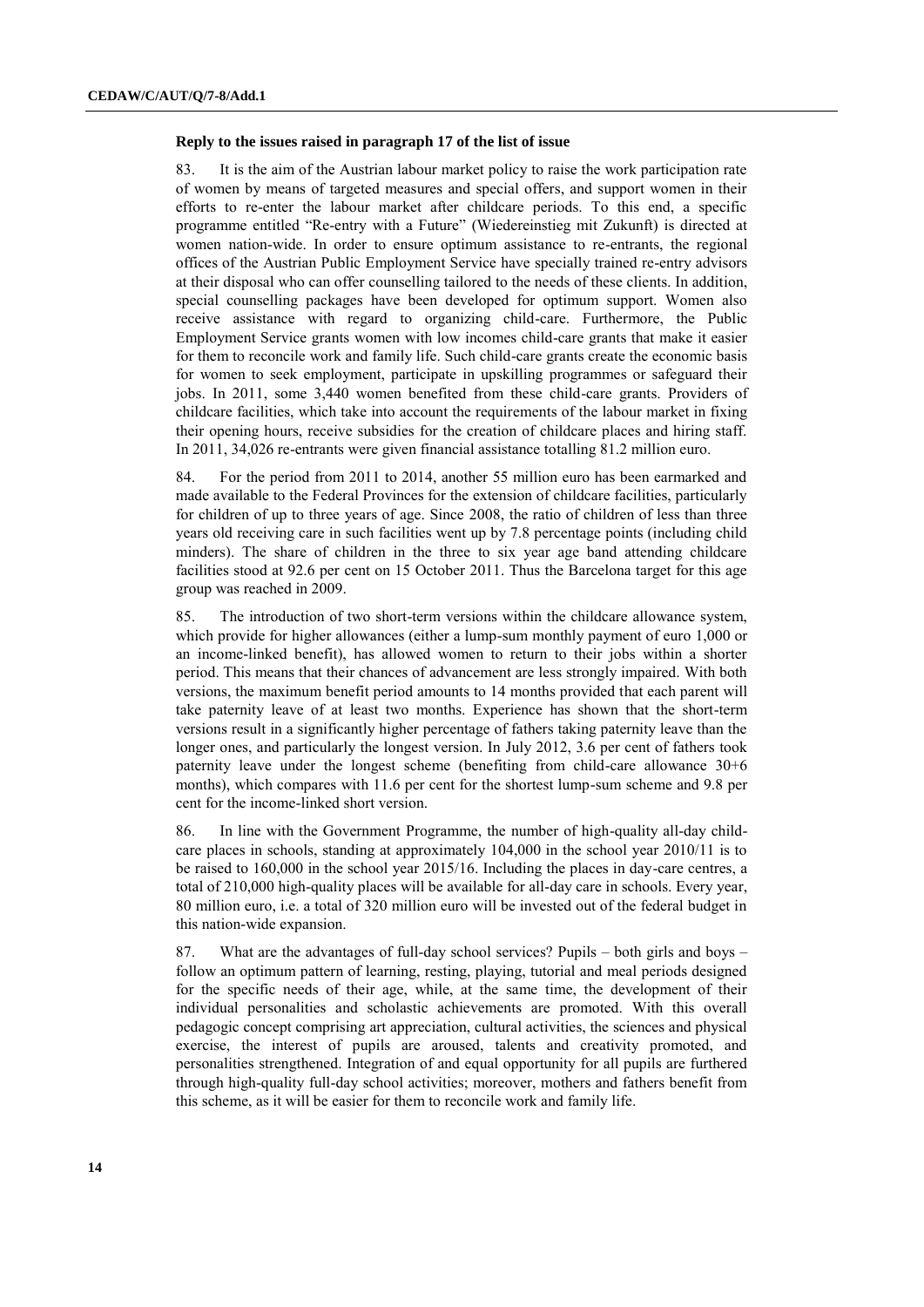#### **Reply to the issues raised in paragraph 17 of the list of issue**

83. It is the aim of the Austrian labour market policy to raise the work participation rate of women by means of targeted measures and special offers, and support women in their efforts to re-enter the labour market after childcare periods. To this end, a specific programme entitled "Re-entry with a Future" (Wiedereinstieg mit Zukunft) is directed at women nation-wide. In order to ensure optimum assistance to re-entrants, the regional offices of the Austrian Public Employment Service have specially trained re-entry advisors at their disposal who can offer counselling tailored to the needs of these clients. In addition, special counselling packages have been developed for optimum support. Women also receive assistance with regard to organizing child-care. Furthermore, the Public Employment Service grants women with low incomes child-care grants that make it easier for them to reconcile work and family life. Such child-care grants create the economic basis for women to seek employment, participate in upskilling programmes or safeguard their jobs. In 2011, some 3,440 women benefited from these child-care grants. Providers of childcare facilities, which take into account the requirements of the labour market in fixing their opening hours, receive subsidies for the creation of childcare places and hiring staff. In 2011, 34,026 re-entrants were given financial assistance totalling 81.2 million euro.

84. For the period from 2011 to 2014, another 55 million euro has been earmarked and made available to the Federal Provinces for the extension of childcare facilities, particularly for children of up to three years of age. Since 2008, the ratio of children of less than three years old receiving care in such facilities went up by 7.8 percentage points (including child minders). The share of children in the three to six year age band attending childcare facilities stood at 92.6 per cent on 15 October 2011. Thus the Barcelona target for this age group was reached in 2009.

85. The introduction of two short-term versions within the childcare allowance system, which provide for higher allowances (either a lump-sum monthly payment of euro 1,000 or an income-linked benefit), has allowed women to return to their jobs within a shorter period. This means that their chances of advancement are less strongly impaired. With both versions, the maximum benefit period amounts to 14 months provided that each parent will take paternity leave of at least two months. Experience has shown that the short-term versions result in a significantly higher percentage of fathers taking paternity leave than the longer ones, and particularly the longest version. In July 2012, 3.6 per cent of fathers took paternity leave under the longest scheme (benefiting from child-care allowance 30+6 months), which compares with 11.6 per cent for the shortest lump-sum scheme and 9.8 per cent for the income-linked short version.

86. In line with the Government Programme, the number of high-quality all-day childcare places in schools, standing at approximately 104,000 in the school year 2010/11 is to be raised to 160,000 in the school year 2015/16. Including the places in day-care centres, a total of 210,000 high-quality places will be available for all-day care in schools. Every year, 80 million euro, i.e. a total of 320 million euro will be invested out of the federal budget in this nation-wide expansion.

87. What are the advantages of full-day school services? Pupils – both girls and boys – follow an optimum pattern of learning, resting, playing, tutorial and meal periods designed for the specific needs of their age, while, at the same time, the development of their individual personalities and scholastic achievements are promoted. With this overall pedagogic concept comprising art appreciation, cultural activities, the sciences and physical exercise, the interest of pupils are aroused, talents and creativity promoted, and personalities strengthened. Integration of and equal opportunity for all pupils are furthered through high-quality full-day school activities; moreover, mothers and fathers benefit from this scheme, as it will be easier for them to reconcile work and family life.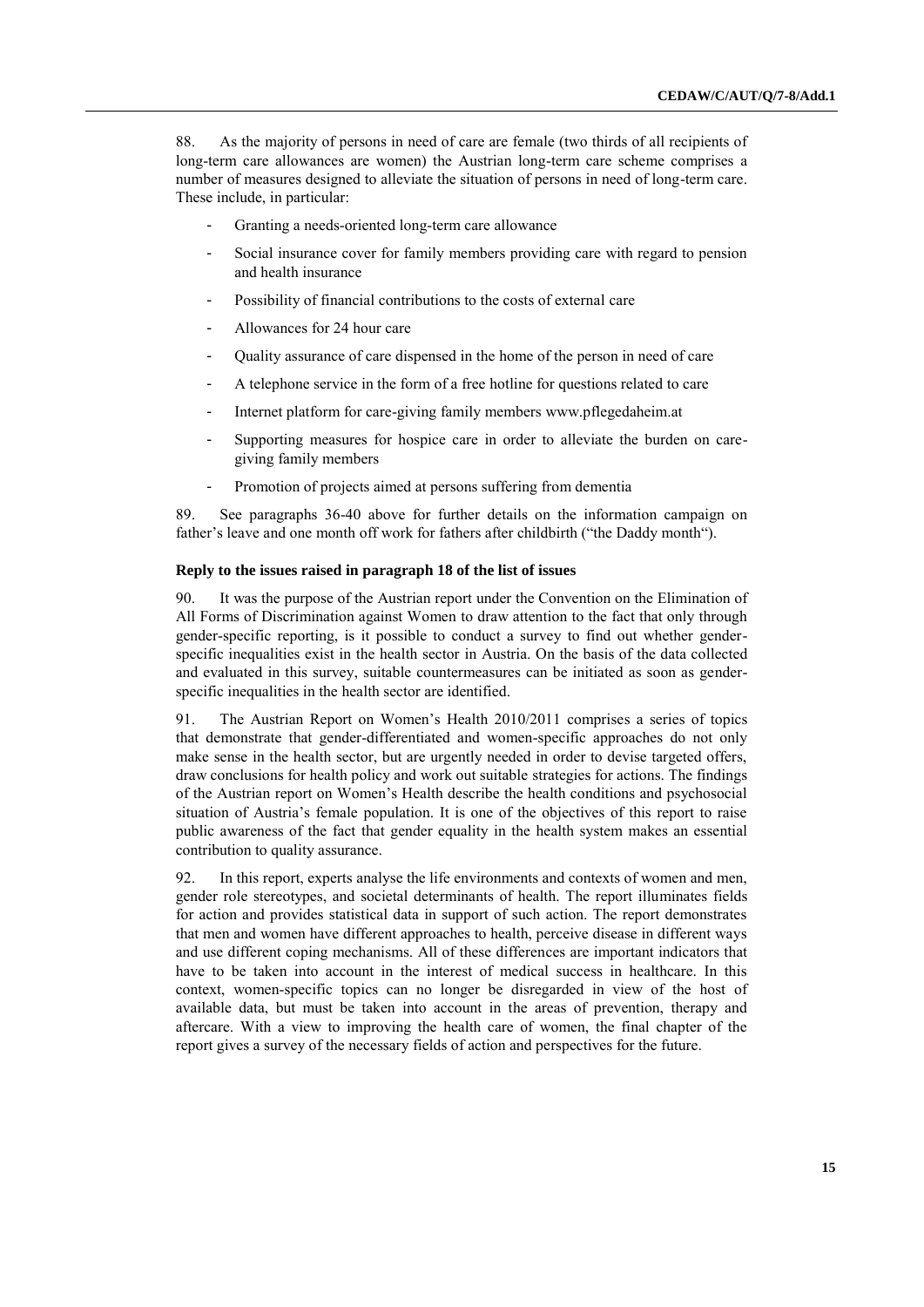88. As the majority of persons in need of care are female (two thirds of all recipients of long-term care allowances are women) the Austrian long-term care scheme comprises a number of measures designed to alleviate the situation of persons in need of long-term care. These include, in particular:

- Granting a needs-oriented long-term care allowance
- Social insurance cover for family members providing care with regard to pension and health insurance
- Possibility of financial contributions to the costs of external care
- Allowances for 24 hour care
- Quality assurance of care dispensed in the home of the person in need of care
- A telephone service in the form of a free hotline for questions related to care
- Internet platform for care-giving family member[s www.pflegedaheim.at](http://www.pflegedaheim.at/)
- Supporting measures for hospice care in order to alleviate the burden on caregiving family members
- Promotion of projects aimed at persons suffering from dementia

89. See paragraphs 36-40 above for further details on the information campaign on father's leave and one month off work for fathers after childbirth ("the Daddy month").

## **Reply to the issues raised in paragraph 18 of the list of issues**

90. It was the purpose of the Austrian report under the Convention on the Elimination of All Forms of Discrimination against Women to draw attention to the fact that only through gender-specific reporting, is it possible to conduct a survey to find out whether genderspecific inequalities exist in the health sector in Austria. On the basis of the data collected and evaluated in this survey, suitable countermeasures can be initiated as soon as genderspecific inequalities in the health sector are identified.

91. The Austrian Report on Women"s Health 2010/2011 comprises a series of topics that demonstrate that gender-differentiated and women-specific approaches do not only make sense in the health sector, but are urgently needed in order to devise targeted offers, draw conclusions for health policy and work out suitable strategies for actions. The findings of the Austrian report on Women"s Health describe the health conditions and psychosocial situation of Austria's female population. It is one of the objectives of this report to raise public awareness of the fact that gender equality in the health system makes an essential contribution to quality assurance.

92. In this report, experts analyse the life environments and contexts of women and men, gender role stereotypes, and societal determinants of health. The report illuminates fields for action and provides statistical data in support of such action. The report demonstrates that men and women have different approaches to health, perceive disease in different ways and use different coping mechanisms. All of these differences are important indicators that have to be taken into account in the interest of medical success in healthcare. In this context, women-specific topics can no longer be disregarded in view of the host of available data, but must be taken into account in the areas of prevention, therapy and aftercare. With a view to improving the health care of women, the final chapter of the report gives a survey of the necessary fields of action and perspectives for the future.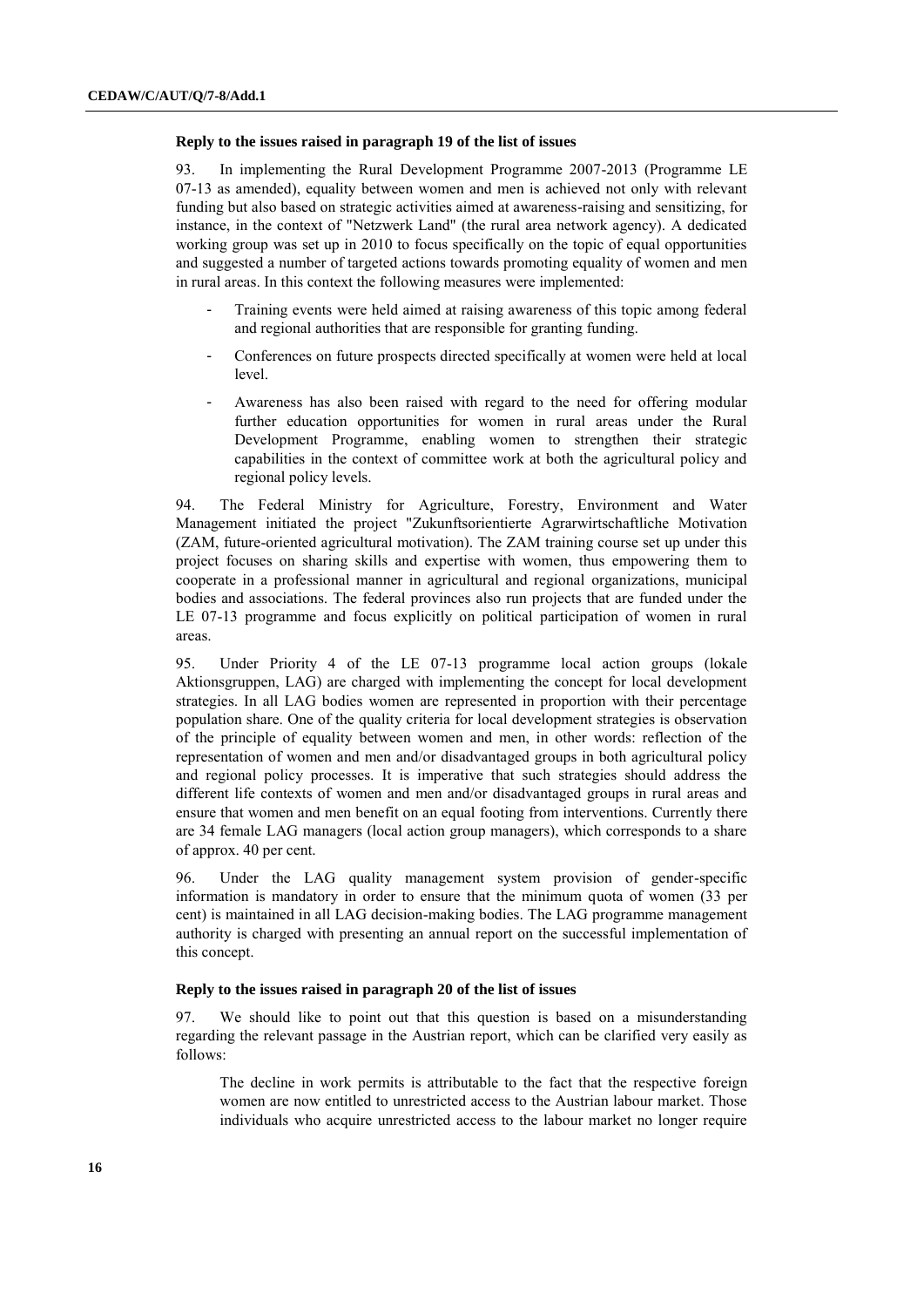#### **Reply to the issues raised in paragraph 19 of the list of issues**

93. In implementing the Rural Development Programme 2007-2013 (Programme LE 07-13 as amended), equality between women and men is achieved not only with relevant funding but also based on strategic activities aimed at awareness-raising and sensitizing, for instance, in the context of "Netzwerk Land" (the rural area network agency). A dedicated working group was set up in 2010 to focus specifically on the topic of equal opportunities and suggested a number of targeted actions towards promoting equality of women and men in rural areas. In this context the following measures were implemented:

- Training events were held aimed at raising awareness of this topic among federal and regional authorities that are responsible for granting funding.
- Conferences on future prospects directed specifically at women were held at local level.
- Awareness has also been raised with regard to the need for offering modular further education opportunities for women in rural areas under the Rural Development Programme, enabling women to strengthen their strategic capabilities in the context of committee work at both the agricultural policy and regional policy levels.

94. The Federal Ministry for Agriculture, Forestry, Environment and Water Management initiated the project "Zukunftsorientierte Agrarwirtschaftliche Motivation (ZAM, future-oriented agricultural motivation). The ZAM training course set up under this project focuses on sharing skills and expertise with women, thus empowering them to cooperate in a professional manner in agricultural and regional organizations, municipal bodies and associations. The federal provinces also run projects that are funded under the LE 07-13 programme and focus explicitly on political participation of women in rural areas.

95. Under Priority 4 of the LE 07-13 programme local action groups (lokale Aktionsgruppen, LAG) are charged with implementing the concept for local development strategies. In all LAG bodies women are represented in proportion with their percentage population share. One of the quality criteria for local development strategies is observation of the principle of equality between women and men, in other words: reflection of the representation of women and men and/or disadvantaged groups in both agricultural policy and regional policy processes. It is imperative that such strategies should address the different life contexts of women and men and/or disadvantaged groups in rural areas and ensure that women and men benefit on an equal footing from interventions. Currently there are 34 female LAG managers (local action group managers), which corresponds to a share of approx. 40 per cent.

96. Under the LAG quality management system provision of gender-specific information is mandatory in order to ensure that the minimum quota of women (33 per cent) is maintained in all LAG decision-making bodies. The LAG programme management authority is charged with presenting an annual report on the successful implementation of this concept.

#### **Reply to the issues raised in paragraph 20 of the list of issues**

97. We should like to point out that this question is based on a misunderstanding regarding the relevant passage in the Austrian report, which can be clarified very easily as follows:

The decline in work permits is attributable to the fact that the respective foreign women are now entitled to unrestricted access to the Austrian labour market. Those individuals who acquire unrestricted access to the labour market no longer require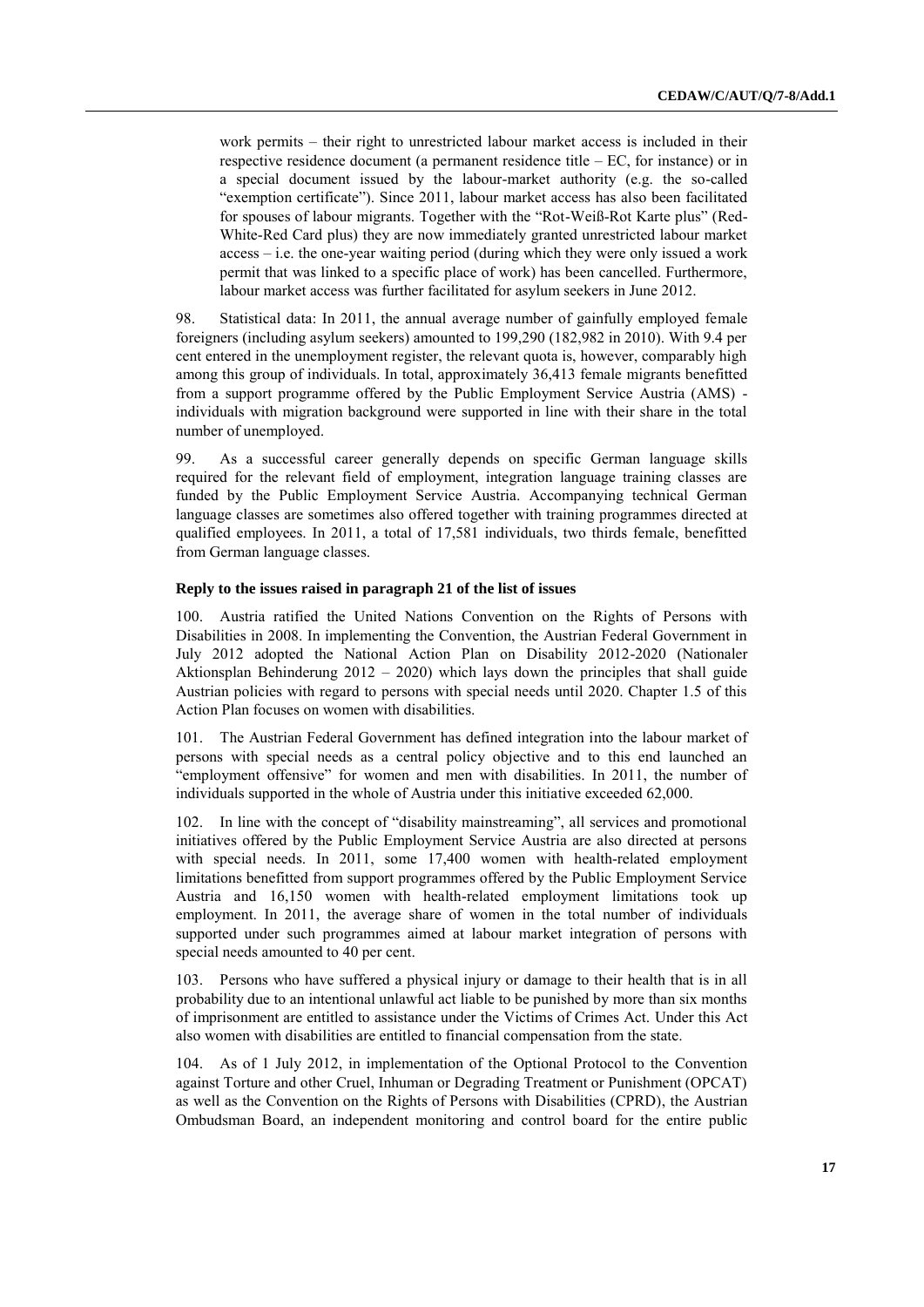work permits – their right to unrestricted labour market access is included in their respective residence document (a permanent residence title – EC, for instance) or in a special document issued by the labour-market authority (e.g. the so-called "exemption certificate"). Since 2011, labour market access has also been facilitated for spouses of labour migrants. Together with the "Rot-Weiß-Rot Karte plus" (Red-White-Red Card plus) they are now immediately granted unrestricted labour market access – i.e. the one-year waiting period (during which they were only issued a work permit that was linked to a specific place of work) has been cancelled. Furthermore, labour market access was further facilitated for asylum seekers in June 2012.

98. Statistical data: In 2011, the annual average number of gainfully employed female foreigners (including asylum seekers) amounted to 199,290 (182,982 in 2010). With 9.4 per cent entered in the unemployment register, the relevant quota is, however, comparably high among this group of individuals. In total, approximately 36,413 female migrants benefitted from a support programme offered by the Public Employment Service Austria (AMS) individuals with migration background were supported in line with their share in the total number of unemployed.

99. As a successful career generally depends on specific German language skills required for the relevant field of employment, integration language training classes are funded by the Public Employment Service Austria. Accompanying technical German language classes are sometimes also offered together with training programmes directed at qualified employees. In 2011, a total of 17,581 individuals, two thirds female, benefitted from German language classes.

## **Reply to the issues raised in paragraph 21 of the list of issues**

100. Austria ratified the United Nations Convention on the Rights of Persons with Disabilities in 2008. In implementing the Convention, the Austrian Federal Government in July 2012 adopted the National Action Plan on Disability 2012-2020 (Nationaler Aktionsplan Behinderung 2012 – 2020) which lays down the principles that shall guide Austrian policies with regard to persons with special needs until 2020. Chapter 1.5 of this Action Plan focuses on women with disabilities.

101. The Austrian Federal Government has defined integration into the labour market of persons with special needs as a central policy objective and to this end launched an "employment offensive" for women and men with disabilities. In 2011, the number of individuals supported in the whole of Austria under this initiative exceeded 62,000.

102. In line with the concept of "disability mainstreaming", all services and promotional initiatives offered by the Public Employment Service Austria are also directed at persons with special needs. In 2011, some 17,400 women with health-related employment limitations benefitted from support programmes offered by the Public Employment Service Austria and 16,150 women with health-related employment limitations took up employment. In 2011, the average share of women in the total number of individuals supported under such programmes aimed at labour market integration of persons with special needs amounted to 40 per cent.

103. Persons who have suffered a physical injury or damage to their health that is in all probability due to an intentional unlawful act liable to be punished by more than six months of imprisonment are entitled to assistance under the Victims of Crimes Act. Under this Act also women with disabilities are entitled to financial compensation from the state.

104. As of 1 July 2012, in implementation of the Optional Protocol to the Convention against Torture and other Cruel, Inhuman or Degrading Treatment or Punishment (OPCAT) as well as the Convention on the Rights of Persons with Disabilities (CPRD), the Austrian Ombudsman Board, an independent monitoring and control board for the entire public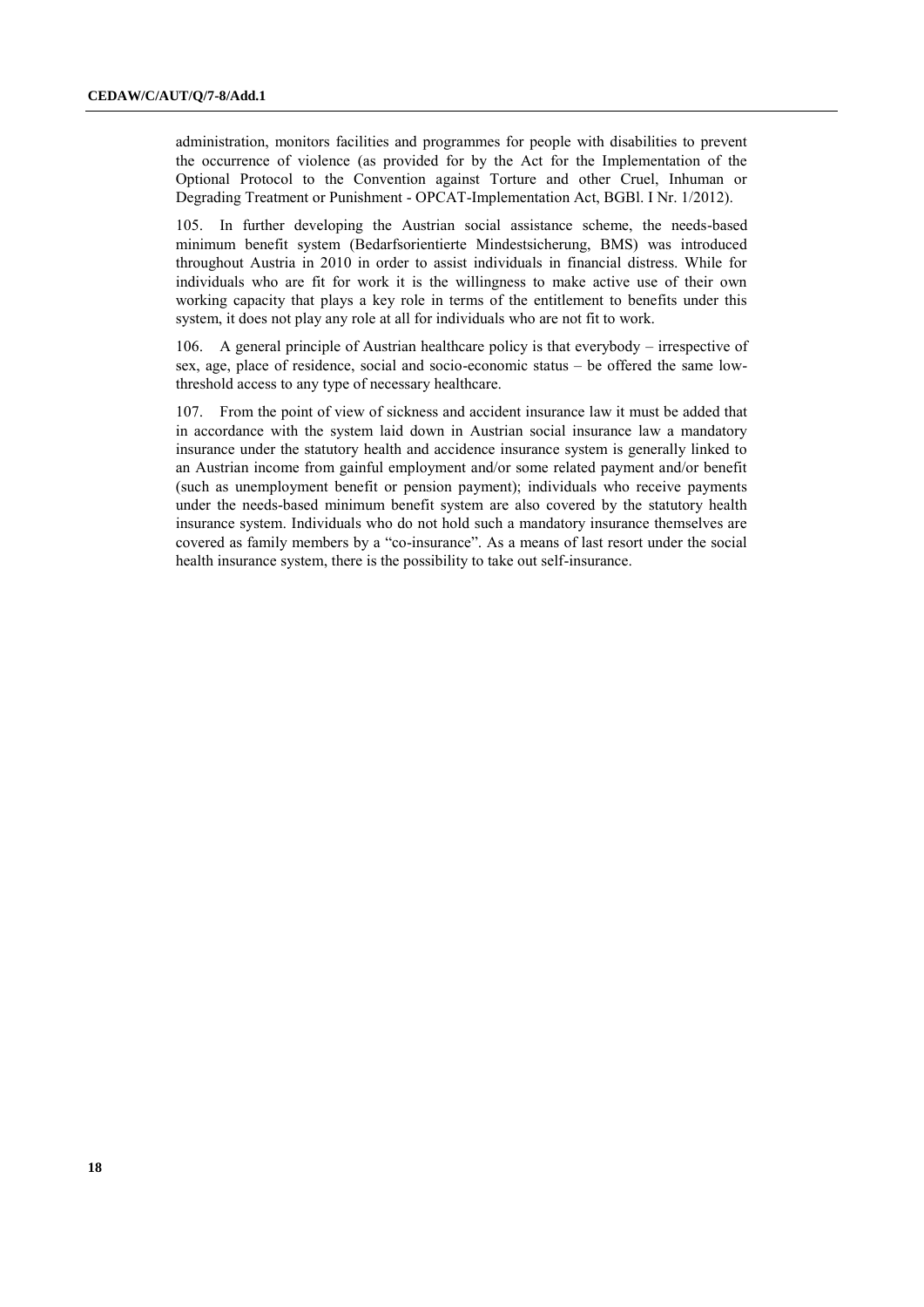administration, monitors facilities and programmes for people with disabilities to prevent the occurrence of violence (as provided for by the Act for the Implementation of the Optional Protocol to the Convention against Torture and other Cruel, Inhuman or Degrading Treatment or Punishment - OPCAT-Implementation Act, BGBl. I Nr. 1/2012).

105. In further developing the Austrian social assistance scheme, the needs-based minimum benefit system (Bedarfsorientierte Mindestsicherung, BMS) was introduced throughout Austria in 2010 in order to assist individuals in financial distress. While for individuals who are fit for work it is the willingness to make active use of their own working capacity that plays a key role in terms of the entitlement to benefits under this system, it does not play any role at all for individuals who are not fit to work.

106. A general principle of Austrian healthcare policy is that everybody – irrespective of sex, age, place of residence, social and socio-economic status – be offered the same lowthreshold access to any type of necessary healthcare.

107. From the point of view of sickness and accident insurance law it must be added that in accordance with the system laid down in Austrian social insurance law a mandatory insurance under the statutory health and accidence insurance system is generally linked to an Austrian income from gainful employment and/or some related payment and/or benefit (such as unemployment benefit or pension payment); individuals who receive payments under the needs-based minimum benefit system are also covered by the statutory health insurance system. Individuals who do not hold such a mandatory insurance themselves are covered as family members by a "co-insurance". As a means of last resort under the social health insurance system, there is the possibility to take out self-insurance.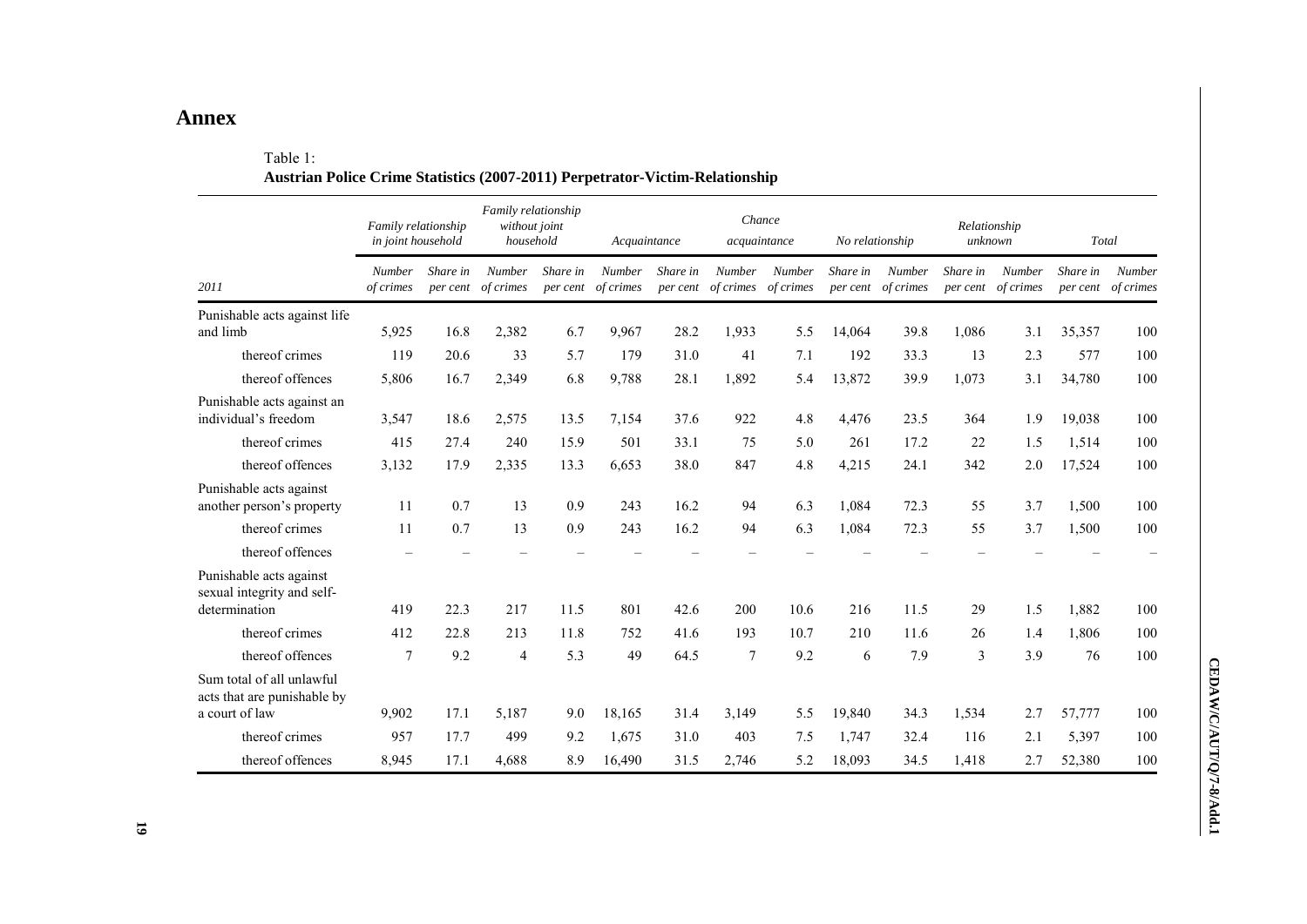# **Annex**

# Table 1:

|                                                                            | Family relationship<br>in joint household |                      | Family relationship<br>without joint<br>household |                      | Acquaintance               |                      | Chance<br>acquaintance     |                     | No relationship      |                            | Relationship<br>unknown |                            | Total                |                     |
|----------------------------------------------------------------------------|-------------------------------------------|----------------------|---------------------------------------------------|----------------------|----------------------------|----------------------|----------------------------|---------------------|----------------------|----------------------------|-------------------------|----------------------------|----------------------|---------------------|
| 2011                                                                       | <b>Number</b><br>of crimes                | Share in<br>per cent | <b>Number</b><br>of crimes                        | Share in<br>per cent | <b>Number</b><br>of crimes | Share in<br>per cent | <b>Number</b><br>of crimes | Number<br>of crimes | Share in<br>per cent | <b>Number</b><br>of crimes | Share in<br>per cent    | <b>Number</b><br>of crimes | Share in<br>per cent | Number<br>of crimes |
| Punishable acts against life<br>and limb                                   | 5,925                                     | 16.8                 | 2,382                                             | 6.7                  | 9,967                      | 28.2                 | 1,933                      | 5.5                 | 14.064               | 39.8                       | 1,086                   | 3.1                        | 35,357               | 100                 |
| thereof crimes                                                             | 119                                       | 20.6                 | 33                                                | 5.7                  | 179                        | 31.0                 | 41                         | 7.1                 | 192                  | 33.3                       | 13                      | 2.3                        | 577                  | 100                 |
| thereof offences                                                           | 5,806                                     | 16.7                 | 2,349                                             | 6.8                  | 9,788                      | 28.1                 | 1,892                      | 5.4                 | 13,872               | 39.9                       | 1,073                   | 3.1                        | 34,780               | 100                 |
| Punishable acts against an<br>individual's freedom                         | 3,547                                     | 18.6                 | 2,575                                             | 13.5                 | 7,154                      | 37.6                 | 922                        | 4.8                 | 4,476                | 23.5                       | 364                     | 1.9                        | 19,038               | 100                 |
| thereof crimes                                                             | 415                                       | 27.4                 | 240                                               | 15.9                 | 501                        | 33.1                 | 75                         | 5.0                 | 261                  | 17.2                       | 22                      | 1.5                        | 1,514                | 100                 |
| thereof offences                                                           | 3,132                                     | 17.9                 | 2,335                                             | 13.3                 | 6,653                      | 38.0                 | 847                        | 4.8                 | 4,215                | 24.1                       | 342                     | 2.0                        | 17,524               | 100                 |
| Punishable acts against<br>another person's property                       | 11                                        | 0.7                  | 13                                                | 0.9                  | 243                        | 16.2                 | 94                         | 6.3                 | 1,084                | 72.3                       | 55                      | 3.7                        | 1,500                | 100                 |
| thereof crimes                                                             | 11                                        | 0.7                  | 13                                                | 0.9                  | 243                        | 16.2                 | 94                         | 6.3                 | 1,084                | 72.3                       | 55                      | 3.7                        | 1,500                | 100                 |
| thereof offences                                                           |                                           |                      |                                                   |                      |                            |                      |                            |                     |                      |                            |                         |                            |                      |                     |
| Punishable acts against<br>sexual integrity and self-<br>determination     | 419                                       | 22.3                 | 217                                               | 11.5                 | 801                        | 42.6                 | 200                        | 10.6                | 216                  | 11.5                       | 29                      | 1.5                        | 1,882                | 100                 |
| thereof crimes                                                             | 412                                       | 22.8                 | 213                                               | 11.8                 | 752                        | 41.6                 | 193                        | 10.7                | 210                  | 11.6                       | 26                      | 1.4                        | 1,806                | 100                 |
| thereof offences                                                           | $\overline{7}$                            | 9.2                  | $\overline{4}$                                    | 5.3                  | 49                         | 64.5                 | 7                          | 9.2                 | 6                    | 7.9                        | 3                       | 3.9                        | 76                   | 100                 |
| Sum total of all unlawful<br>acts that are punishable by<br>a court of law | 9,902                                     | 17.1                 | 5,187                                             | 9.0                  | 18,165                     | 31.4                 | 3,149                      | 5.5                 | 19,840               | 34.3                       | 1,534                   | 2.7                        | 57,777               | 100                 |
| thereof crimes                                                             | 957                                       | 17.7                 | 499                                               | 9.2                  | 1,675                      | 31.0                 | 403                        | 7.5                 | 1,747                | 32.4                       | 116                     | 2.1                        | 5,397                | 100                 |
| thereof offences                                                           | 8,945                                     | 17.1                 | 4,688                                             | 8.9                  | 16,490                     | 31.5                 | 2,746                      | 5.2                 | 18.093               | 34.5                       | 1,418                   | 2.7                        | 52,380               | 100                 |

# **Austrian Police Crime Statistics (2007-2011) Perpetrator-Victim-Relationship**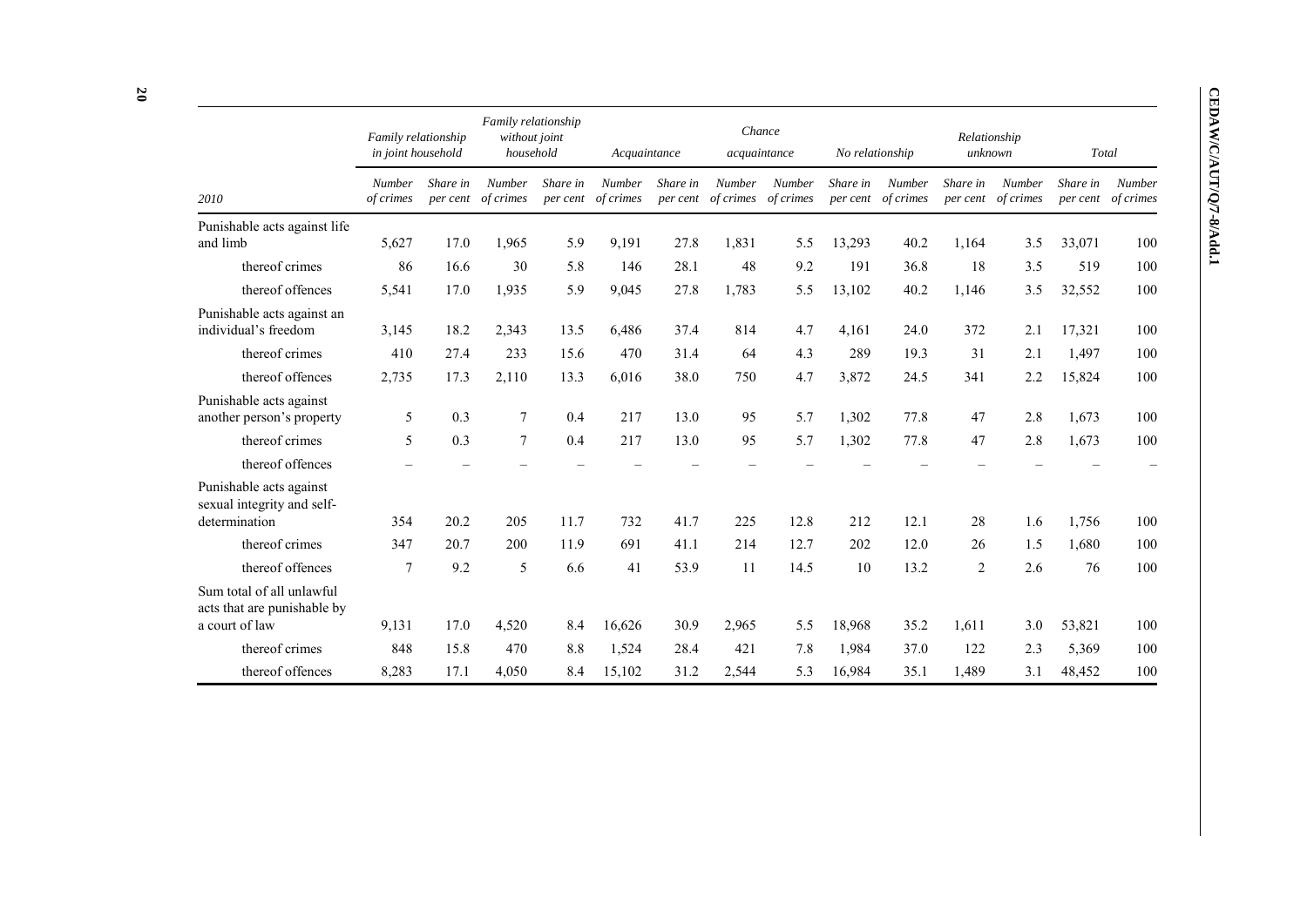|                                                                            | Family relationship<br>in joint household |                      | Family relationship<br>without joint<br>household |          | Acquaintance                 |          |                                        | Chance<br>acquaintance | No relationship |                              |                      | Relationship<br>unknown    | Total                |                            |
|----------------------------------------------------------------------------|-------------------------------------------|----------------------|---------------------------------------------------|----------|------------------------------|----------|----------------------------------------|------------------------|-----------------|------------------------------|----------------------|----------------------------|----------------------|----------------------------|
| 2010                                                                       | <b>Number</b><br>of crimes                | Share in<br>per cent | <b>Number</b><br>of crimes                        | Share in | Number<br>per cent of crimes | Share in | Number<br>per cent of crimes of crimes | <b>Number</b>          | Share in        | Number<br>per cent of crimes | Share in<br>per cent | <b>Number</b><br>of crimes | Share in<br>per cent | <b>Number</b><br>of crimes |
| Punishable acts against life<br>and limb                                   | 5,627                                     | 17.0                 | 1,965                                             | 5.9      | 9,191                        | 27.8     | 1,831                                  | 5.5                    | 13,293          | 40.2                         | 1,164                | 3.5                        | 33,071               | 100                        |
| thereof crimes                                                             | 86                                        | 16.6                 | 30                                                | 5.8      | 146                          | 28.1     | 48                                     | 9.2                    | 191             | 36.8                         | 18                   | 3.5                        | 519                  | 100                        |
| thereof offences                                                           | 5,541                                     | 17.0                 | 1,935                                             | 5.9      | 9,045                        | 27.8     | 1,783                                  | 5.5                    | 13,102          | 40.2                         | 1,146                | 3.5                        | 32,552               | 100                        |
| Punishable acts against an<br>individual's freedom                         | 3,145                                     | 18.2                 | 2,343                                             | 13.5     | 6,486                        | 37.4     | 814                                    | 4.7                    | 4,161           | 24.0                         | 372                  | 2.1                        | 17,321               | 100                        |
| thereof crimes                                                             | 410                                       | 27.4                 | 233                                               | 15.6     | 470                          | 31.4     | 64                                     | 4.3                    | 289             | 19.3                         | 31                   | 2.1                        | 1,497                | 100                        |
| thereof offences                                                           | 2,735                                     | 17.3                 | 2,110                                             | 13.3     | 6,016                        | 38.0     | 750                                    | 4.7                    | 3,872           | 24.5                         | 341                  | 2.2                        | 15,824               | 100                        |
| Punishable acts against<br>another person's property                       | 5                                         | 0.3                  | $\overline{7}$                                    | 0.4      | 217                          | 13.0     | 95                                     | 5.7                    | 1,302           | 77.8                         | 47                   | 2.8                        | 1,673                | 100                        |
| thereof crimes                                                             | 5                                         | 0.3                  | $\overline{7}$                                    | 0.4      | 217                          | 13.0     | 95                                     | 5.7                    | 1,302           | 77.8                         | 47                   | 2.8                        | 1,673                | 100                        |
| thereof offences                                                           |                                           |                      |                                                   |          |                              |          |                                        |                        |                 |                              |                      |                            |                      |                            |
| Punishable acts against<br>sexual integrity and self-<br>determination     | 354                                       | 20.2                 | 205                                               | 11.7     | 732                          | 41.7     | 225                                    | 12.8                   | 212             | 12.1                         | 28                   | 1.6                        | 1,756                | 100                        |
| thereof crimes                                                             | 347                                       | 20.7                 | 200                                               | 11.9     | 691                          | 41.1     | 214                                    | 12.7                   | 202             | 12.0                         | 26                   | 1.5                        | 1,680                | 100                        |
| thereof offences                                                           | $\tau$                                    | 9.2                  | 5                                                 | 6.6      | 41                           | 53.9     | 11                                     | 14.5                   | 10              | 13.2                         | 2                    | 2.6                        | 76                   | 100                        |
| Sum total of all unlawful<br>acts that are punishable by<br>a court of law | 9,131                                     | 17.0                 | 4,520                                             | 8.4      | 16,626                       | 30.9     | 2,965                                  | 5.5                    | 18,968          | 35.2                         | 1,611                | 3.0                        | 53,821               | 100                        |
| thereof crimes                                                             | 848                                       | 15.8                 | 470                                               | 8.8      | 1,524                        | 28.4     | 421                                    | 7.8                    | 1,984           | 37.0                         | 122                  | 2.3                        | 5,369                | 100                        |
| thereof offences                                                           | 8,283                                     | 17.1                 | 4,050                                             | 8.4      | 15,102                       | 31.2     | 2,544                                  | 5.3                    | 16,984          | 35.1                         | 1,489                | 3.1                        | 48,452               | 100                        |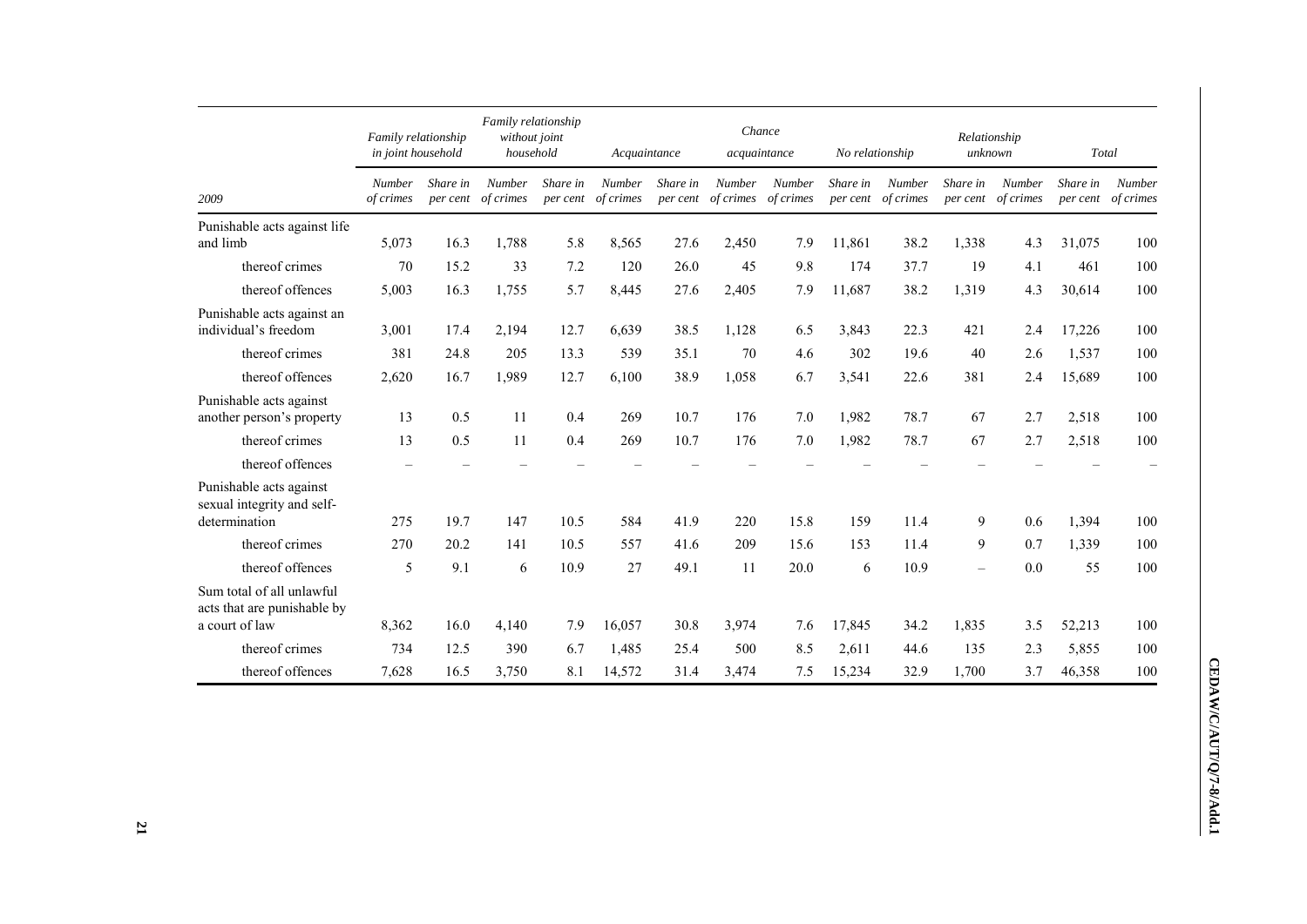|                                                                            | Family relationship<br>in joint household |                      | Family relationship<br>without joint<br>household |                      | Acquaintance               |                      | Chance<br>acquaintance |                                      | No relationship      |                            | Relationship<br>unknown  |                            | Total                |                            |
|----------------------------------------------------------------------------|-------------------------------------------|----------------------|---------------------------------------------------|----------------------|----------------------------|----------------------|------------------------|--------------------------------------|----------------------|----------------------------|--------------------------|----------------------------|----------------------|----------------------------|
| 2009                                                                       | Number<br>of crimes                       | Share in<br>per cent | <b>Number</b><br>of crimes                        | Share in<br>per cent | <b>Number</b><br>of crimes | Share in<br>per cent | <b>Number</b>          | <b>Number</b><br>of crimes of crimes | Share in<br>per cent | <b>Number</b><br>of crimes | Share in<br>per cent     | <b>Number</b><br>of crimes | Share in<br>per cent | <b>Number</b><br>of crimes |
| Punishable acts against life<br>and limb                                   | 5,073                                     | 16.3                 | 1,788                                             | 5.8                  | 8,565                      | 27.6                 | 2,450                  | 7.9                                  | 11,861               | 38.2                       | 1,338                    | 4.3                        | 31,075               | 100                        |
| thereof crimes                                                             | 70                                        | 15.2                 | 33                                                | 7.2                  | 120                        | 26.0                 | 45                     | 9.8                                  | 174                  | 37.7                       | 19                       | 4.1                        | 461                  | 100                        |
| thereof offences                                                           | 5,003                                     | 16.3                 | 1,755                                             | 5.7                  | 8,445                      | 27.6                 | 2,405                  | 7.9                                  | 11,687               | 38.2                       | 1,319                    | 4.3                        | 30,614               | 100                        |
| Punishable acts against an<br>individual's freedom                         | 3,001                                     | 17.4                 | 2,194                                             | 12.7                 | 6,639                      | 38.5                 | 1,128                  | 6.5                                  | 3,843                | 22.3                       | 421                      | 2.4                        | 17,226               | 100                        |
| thereof crimes                                                             | 381                                       | 24.8                 | 205                                               | 13.3                 | 539                        | 35.1                 | 70                     | 4.6                                  | 302                  | 19.6                       | 40                       | 2.6                        | 1,537                | 100                        |
| thereof offences                                                           | 2,620                                     | 16.7                 | 1,989                                             | 12.7                 | 6,100                      | 38.9                 | 1,058                  | 6.7                                  | 3,541                | 22.6                       | 381                      | 2.4                        | 15,689               | 100                        |
| Punishable acts against<br>another person's property                       | 13                                        | 0.5                  | 11                                                | 0.4                  | 269                        | 10.7                 | 176                    | 7.0                                  | 1,982                | 78.7                       | 67                       | 2.7                        | 2,518                | 100                        |
| thereof crimes                                                             | 13                                        | 0.5                  | 11                                                | 0.4                  | 269                        | 10.7                 | 176                    | 7.0                                  | 1,982                | 78.7                       | 67                       | 2.7                        | 2,518                | 100                        |
| thereof offences                                                           |                                           |                      |                                                   |                      |                            |                      |                        |                                      |                      |                            |                          |                            |                      |                            |
| Punishable acts against<br>sexual integrity and self-<br>determination     | 275                                       | 19.7                 | 147                                               | 10.5                 | 584                        | 41.9                 | 220                    | 15.8                                 | 159                  | 11.4                       | 9                        | 0.6                        | 1,394                | 100                        |
| thereof crimes                                                             | 270                                       | 20.2                 | 141                                               | 10.5                 | 557                        | 41.6                 | 209                    | 15.6                                 | 153                  | 11.4                       | 9                        | 0.7                        | 1,339                | 100                        |
| thereof offences                                                           | 5                                         | 9.1                  | 6                                                 | 10.9                 | 27                         | 49.1                 | 11                     | 20.0                                 | 6                    | 10.9                       | $\overline{\phantom{0}}$ | 0.0                        | 55                   | 100                        |
| Sum total of all unlawful<br>acts that are punishable by<br>a court of law | 8,362                                     | 16.0                 | 4,140                                             | 7.9                  | 16,057                     | 30.8                 | 3,974                  | 7.6                                  | 17,845               | 34.2                       | 1,835                    | 3.5                        | 52,213               | 100                        |
| thereof crimes                                                             | 734                                       | 12.5                 | 390                                               | 6.7                  | 1,485                      | 25.4                 | 500                    | 8.5                                  | 2,611                | 44.6                       | 135                      | 2.3                        | 5,855                | 100                        |
| thereof offences                                                           | 7,628                                     | 16.5                 | 3,750                                             | 8.1                  | 14,572                     | 31.4                 | 3,474                  | 7.5                                  | 15,234               | 32.9                       | 1,700                    | 3.7                        | 46,358               | 100                        |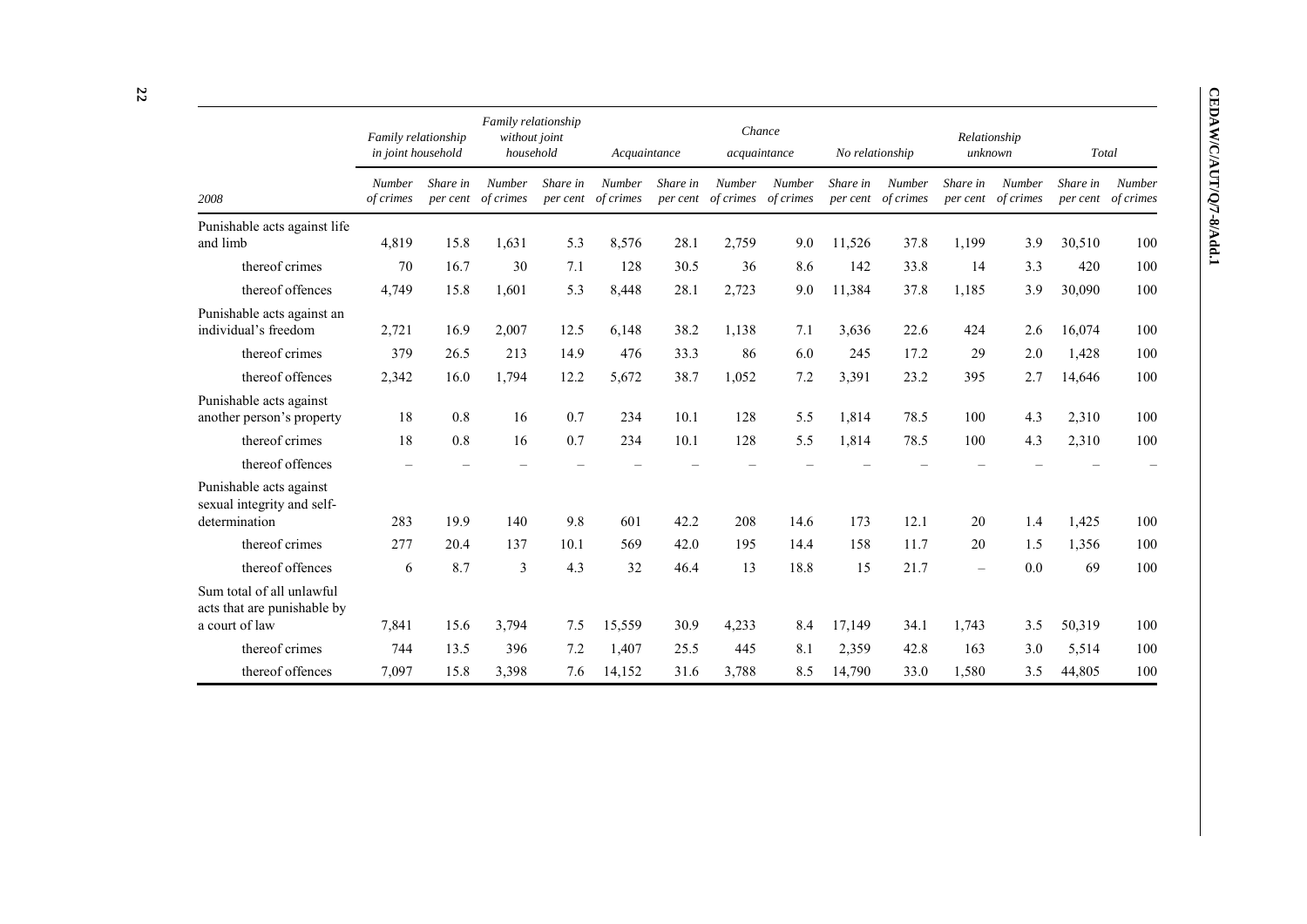|                                                                            | Family relationship<br>in joint household |                      | Family relationship<br>without joint<br>household |          | Acquaintance                 |          | acquaintance                                  | Chance | No relationship |                              | Relationship | unknown                             | Total                |                            |
|----------------------------------------------------------------------------|-------------------------------------------|----------------------|---------------------------------------------------|----------|------------------------------|----------|-----------------------------------------------|--------|-----------------|------------------------------|--------------|-------------------------------------|----------------------|----------------------------|
| 2008                                                                       | <b>Number</b><br>of crimes                | Share in<br>per cent | <b>Number</b><br>of crimes                        | Share in | Number<br>per cent of crimes | Share in | <b>Number</b><br>per cent of crimes of crimes | Number | Share in        | Number<br>per cent of crimes | Share in     | <b>Number</b><br>per cent of crimes | Share in<br>per cent | <b>Number</b><br>of crimes |
| Punishable acts against life<br>and limb                                   | 4,819                                     | 15.8                 | 1,631                                             | 5.3      | 8,576                        | 28.1     | 2,759                                         | 9.0    | 11,526          | 37.8                         | 1,199        | 3.9                                 | 30,510               | 100                        |
| thereof crimes                                                             | 70                                        | 16.7                 | 30                                                | 7.1      | 128                          | 30.5     | 36                                            | 8.6    | 142             | 33.8                         | 14           | 3.3                                 | 420                  | 100                        |
| thereof offences                                                           | 4,749                                     | 15.8                 | 1,601                                             | 5.3      | 8,448                        | 28.1     | 2,723                                         | 9.0    | 11,384          | 37.8                         | 1,185        | 3.9                                 | 30,090               | 100                        |
| Punishable acts against an<br>individual's freedom                         | 2,721                                     | 16.9                 | 2,007                                             | 12.5     | 6,148                        | 38.2     | 1,138                                         | 7.1    | 3,636           | 22.6                         | 424          | 2.6                                 | 16,074               | 100                        |
| thereof crimes                                                             | 379                                       | 26.5                 | 213                                               | 14.9     | 476                          | 33.3     | 86                                            | 6.0    | 245             | 17.2                         | 29           | 2.0                                 | 1,428                | 100                        |
| thereof offences                                                           | 2,342                                     | 16.0                 | 1,794                                             | 12.2     | 5,672                        | 38.7     | 1,052                                         | 7.2    | 3,391           | 23.2                         | 395          | 2.7                                 | 14,646               | 100                        |
| Punishable acts against<br>another person's property                       | 18                                        | 0.8                  | 16                                                | 0.7      | 234                          | 10.1     | 128                                           | 5.5    | 1,814           | 78.5                         | 100          | 4.3                                 | 2,310                | 100                        |
| thereof crimes                                                             | 18                                        | 0.8                  | 16                                                | 0.7      | 234                          | 10.1     | 128                                           | 5.5    | 1,814           | 78.5                         | 100          | 4.3                                 | 2,310                | 100                        |
| thereof offences                                                           |                                           |                      |                                                   |          |                              |          |                                               |        |                 |                              |              |                                     |                      |                            |
| Punishable acts against<br>sexual integrity and self-<br>determination     | 283                                       | 19.9                 | 140                                               | 9.8      | 601                          | 42.2     | 208                                           | 14.6   | 173             | 12.1                         | 20           | 1.4                                 | 1,425                | 100                        |
| thereof crimes                                                             | 277                                       | 20.4                 | 137                                               | 10.1     | 569                          | 42.0     | 195                                           | 14.4   | 158             | 11.7                         | 20           | 1.5                                 | 1,356                | 100                        |
| thereof offences                                                           | 6                                         | 8.7                  | $\mathfrak{Z}$                                    | 4.3      | 32                           | 46.4     | 13                                            | 18.8   | 15              | 21.7                         |              | 0.0                                 | 69                   | 100                        |
| Sum total of all unlawful<br>acts that are punishable by<br>a court of law | 7,841                                     | 15.6                 | 3,794                                             | 7.5      | 15,559                       | 30.9     | 4,233                                         | 8.4    | 17,149          | 34.1                         | 1,743        | 3.5                                 | 50,319               | 100                        |
| thereof crimes                                                             | 744                                       | 13.5                 | 396                                               | 7.2      | 1,407                        | 25.5     | 445                                           | 8.1    | 2,359           | 42.8                         | 163          | 3.0                                 | 5,514                | 100                        |
| thereof offences                                                           | 7,097                                     | 15.8                 | 3,398                                             | 7.6      | 14,152                       | 31.6     | 3,788                                         | 8.5    | 14,790          | 33.0                         | 1,580        | 3.5                                 | 44,805               | 100                        |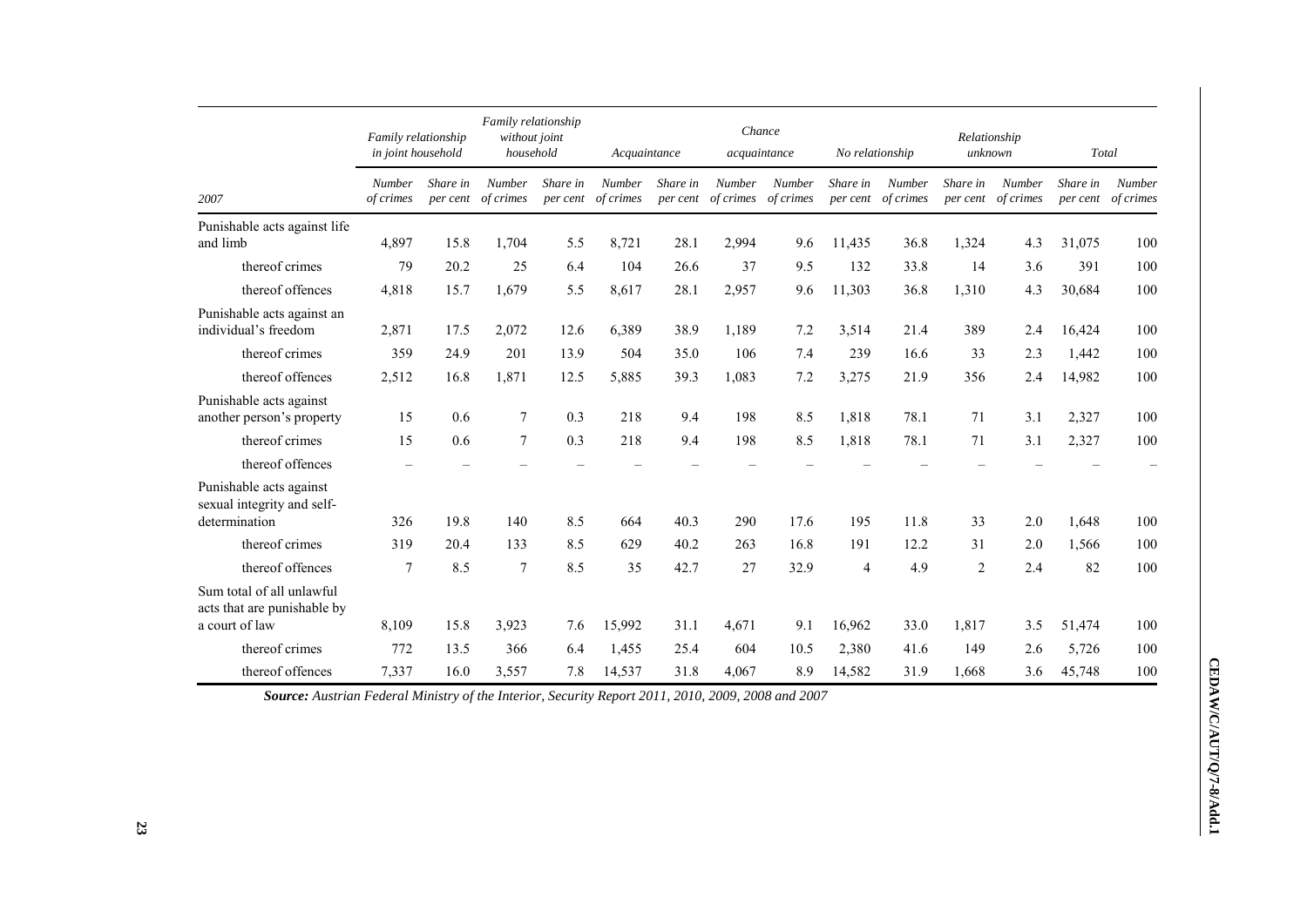|                                                                            | Family relationship<br>in joint household |                      | Family relationship<br>without joint<br>household |                      | Acquaintance               |          | Chance<br>acquaintance                        |               | No relationship      |                     | Relationship<br>unknown |                            | Total                |                            |
|----------------------------------------------------------------------------|-------------------------------------------|----------------------|---------------------------------------------------|----------------------|----------------------------|----------|-----------------------------------------------|---------------|----------------------|---------------------|-------------------------|----------------------------|----------------------|----------------------------|
| 2007                                                                       | <b>Number</b><br>of crimes                | Share in<br>per cent | <b>Number</b><br>of crimes                        | Share in<br>per cent | <b>Number</b><br>of crimes | Share in | <b>Number</b><br>per cent of crimes of crimes | <b>Number</b> | Share in<br>per cent | Number<br>of crimes | Share in<br>per cent    | <b>Number</b><br>of crimes | Share in<br>per cent | <b>Number</b><br>of crimes |
| Punishable acts against life<br>and limb                                   | 4,897                                     | 15.8                 | 1,704                                             | 5.5                  | 8,721                      | 28.1     | 2,994                                         | 9.6           | 11,435               | 36.8                | 1,324                   | 4.3                        | 31,075               | 100                        |
| thereof crimes                                                             | 79                                        | 20.2                 | 25                                                | 6.4                  | 104                        | 26.6     | 37                                            | 9.5           | 132                  | 33.8                | 14                      | 3.6                        | 391                  | 100                        |
| thereof offences                                                           | 4,818                                     | 15.7                 | 1,679                                             | 5.5                  | 8,617                      | 28.1     | 2,957                                         | 9.6           | 11,303               | 36.8                | 1,310                   | 4.3                        | 30,684               | 100                        |
| Punishable acts against an<br>individual's freedom                         | 2,871                                     | 17.5                 | 2,072                                             | 12.6                 | 6,389                      | 38.9     | 1,189                                         | 7.2           | 3,514                | 21.4                | 389                     | 2.4                        | 16,424               | 100                        |
| thereof crimes                                                             | 359                                       | 24.9                 | 201                                               | 13.9                 | 504                        | 35.0     | 106                                           | 7.4           | 239                  | 16.6                | 33                      | 2.3                        | 1,442                | 100                        |
| thereof offences                                                           | 2,512                                     | 16.8                 | 1,871                                             | 12.5                 | 5,885                      | 39.3     | 1,083                                         | 7.2           | 3,275                | 21.9                | 356                     | 2.4                        | 14,982               | 100                        |
| Punishable acts against<br>another person's property                       | 15                                        | 0.6                  | 7                                                 | 0.3                  | 218                        | 9.4      | 198                                           | 8.5           | 1,818                | 78.1                | 71                      | 3.1                        | 2,327                | 100                        |
| thereof crimes                                                             | 15                                        | 0.6                  | $\overline{7}$                                    | 0.3                  | 218                        | 9.4      | 198                                           | 8.5           | 1,818                | 78.1                | 71                      | 3.1                        | 2,327                | 100                        |
| thereof offences                                                           | $\overline{\phantom{0}}$                  |                      |                                                   |                      |                            |          |                                               |               |                      |                     |                         |                            |                      |                            |
| Punishable acts against<br>sexual integrity and self-<br>determination     | 326                                       | 19.8                 | 140                                               | 8.5                  | 664                        | 40.3     | 290                                           | 17.6          | 195                  | 11.8                | 33                      | 2.0                        | 1,648                | 100                        |
| thereof crimes                                                             | 319                                       | 20.4                 | 133                                               | 8.5                  | 629                        | 40.2     | 263                                           | 16.8          | 191                  | 12.2                | 31                      | 2.0                        | 1,566                | 100                        |
| thereof offences                                                           | 7                                         | 8.5                  | $\overline{7}$                                    | 8.5                  | 35                         | 42.7     | 27                                            | 32.9          | 4                    | 4.9                 | $\overline{c}$          | 2.4                        | 82                   | 100                        |
| Sum total of all unlawful<br>acts that are punishable by<br>a court of law | 8,109                                     | 15.8                 | 3,923                                             | 7.6                  | 15,992                     | 31.1     | 4,671                                         | 9.1           | 16,962               | 33.0                | 1,817                   | 3.5                        | 51,474               | 100                        |
| thereof crimes                                                             | 772                                       | 13.5                 | 366                                               | 6.4                  | 1,455                      | 25.4     | 604                                           | 10.5          | 2,380                | 41.6                | 149                     | 2.6                        | 5,726                | 100                        |
| thereof offences                                                           | 7,337                                     | 16.0                 | 3,557                                             | 7.8                  | 14,537                     | 31.8     | 4,067                                         | 8.9           | 14,582               | 31.9                | 1,668                   | 3.6                        | 45,748               | 100                        |

*Source: Austrian Federal Ministry of the Interior, Security Report 2011, 2010, 2009, 2008 and 2007*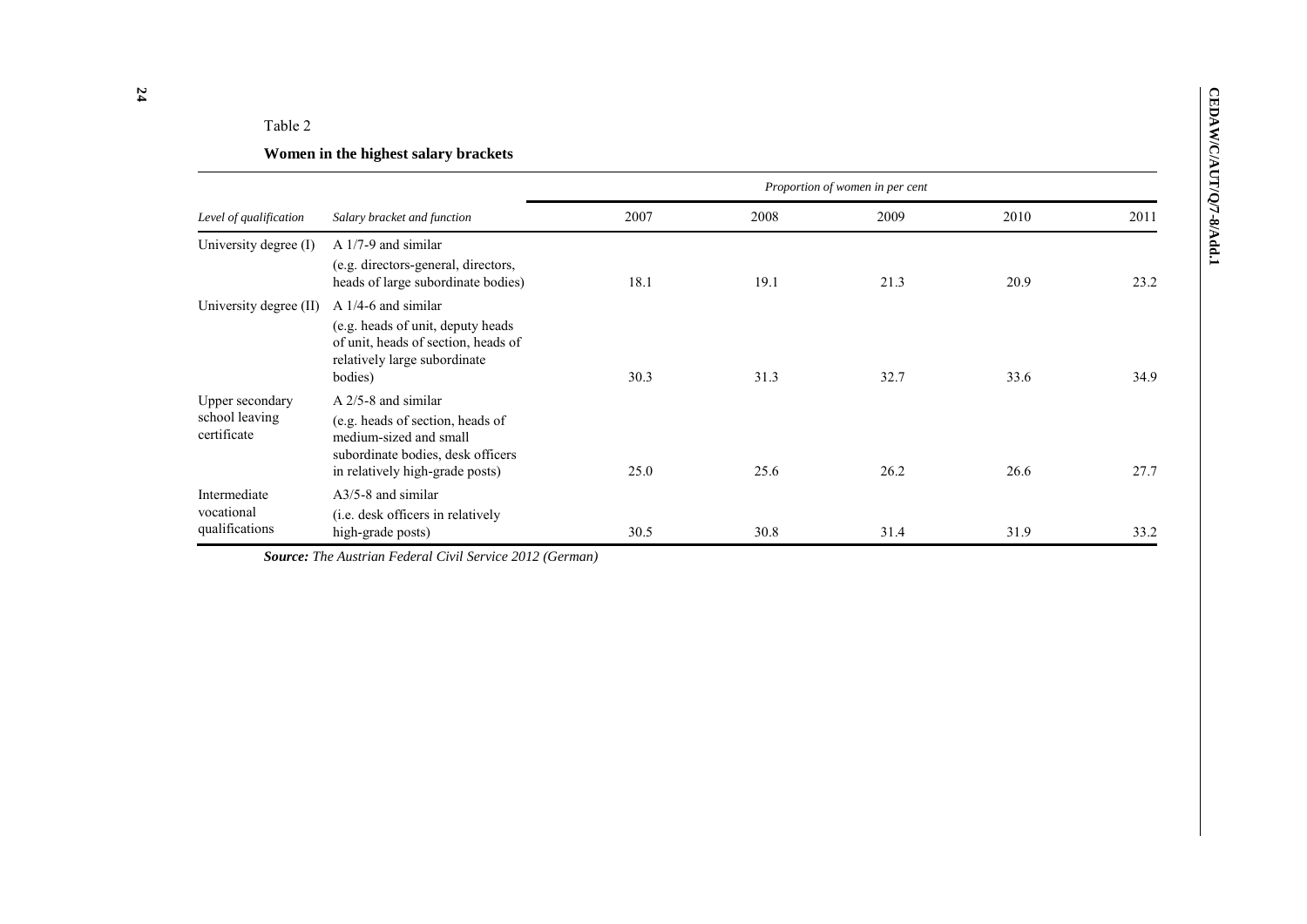# Table 2

# **Women in the highest salary brackets**

|                                                  |                                                                                                                                                             |      |      | Proportion of women in per cent |      |      |
|--------------------------------------------------|-------------------------------------------------------------------------------------------------------------------------------------------------------------|------|------|---------------------------------|------|------|
| Level of qualification                           | Salary bracket and function                                                                                                                                 | 2007 | 2008 | 2009                            | 2010 | 2011 |
| University degree (I)                            | $A$ 1/7-9 and similar<br>(e.g. directors-general, directors,<br>heads of large subordinate bodies)                                                          | 18.1 | 19.1 | 21.3                            | 20.9 | 23.2 |
| University degree (II)                           | $A$ 1/4-6 and similar<br>(e.g. heads of unit, deputy heads<br>of unit, heads of section, heads of<br>relatively large subordinate<br>bodies)                | 30.3 | 31.3 | 32.7                            | 33.6 | 34.9 |
| Upper secondary<br>school leaving<br>certificate | $A$ 2/5-8 and similar<br>(e.g. heads of section, heads of<br>medium-sized and small<br>subordinate bodies, desk officers<br>in relatively high-grade posts) | 25.0 | 25.6 | 26.2                            | 26.6 | 27.7 |
| Intermediate<br>vocational<br>qualifications     | $A3/5-8$ and similar<br>( <i>i.e.</i> desk officers in relatively<br>high-grade posts)                                                                      | 30.5 | 30.8 | 31.4                            | 31.9 | 33.2 |

*Source: The Austrian Federal Civil Service 2012 (German)*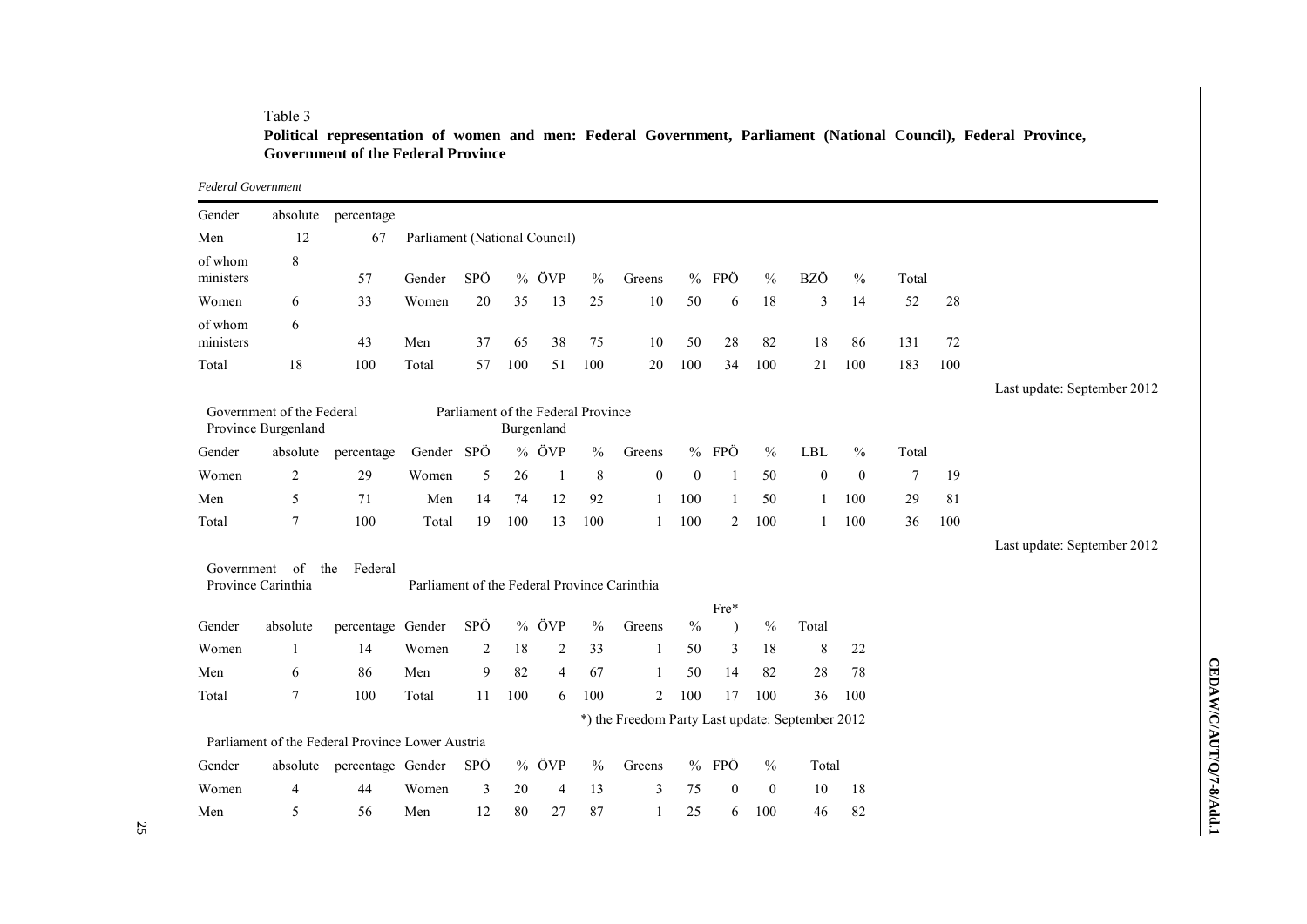# Table 3

**Political representation of women and men: Federal Government, Parliament (National Council), Federal Province, Government of the Federal Province**

| <b>Federal Government</b> |                                                  |                                                  |                                              |                |      |                                                  |               |                                                  |              |                  |                  |                  |                  |        |     |                             |
|---------------------------|--------------------------------------------------|--------------------------------------------------|----------------------------------------------|----------------|------|--------------------------------------------------|---------------|--------------------------------------------------|--------------|------------------|------------------|------------------|------------------|--------|-----|-----------------------------|
| Gender                    | absolute                                         | percentage                                       |                                              |                |      |                                                  |               |                                                  |              |                  |                  |                  |                  |        |     |                             |
| Men                       | 12                                               | 67                                               | Parliament (National Council)                |                |      |                                                  |               |                                                  |              |                  |                  |                  |                  |        |     |                             |
| of whom<br>ministers      | 8                                                | 57                                               | Gender                                       | SPÖ            | $\%$ | ÖVP                                              | $\frac{0}{0}$ | Greens                                           | $\%$         | FPÖ              | $\frac{0}{0}$    | BZÖ              | $\frac{0}{0}$    | Total  |     |                             |
| Women                     | 6                                                | 33                                               | Women                                        | 20             | 35   | 13                                               | 25            | 10                                               | 50           | 6                | 18               | 3                | 14               | 52     | 28  |                             |
| of whom<br>ministers      | 6                                                | 43                                               | Men                                          | 37             | 65   | 38                                               | 75            | 10                                               | 50           | 28               | 82               | 18               | 86               | 131    | 72  |                             |
| Total                     | 18                                               | 100                                              | Total                                        | 57             | 100  | 51                                               | 100           | 20                                               | 100          | 34               | 100              | 21               | 100              | 183    | 100 |                             |
|                           |                                                  |                                                  |                                              |                |      |                                                  |               |                                                  |              |                  |                  |                  |                  |        |     | Last update: September 2012 |
|                           | Government of the Federal<br>Province Burgenland |                                                  |                                              |                |      | Parliament of the Federal Province<br>Burgenland |               |                                                  |              |                  |                  |                  |                  |        |     |                             |
| Gender                    | absolute                                         | percentage                                       | Gender SPÖ                                   |                |      | $%$ ÖVP                                          | $\frac{0}{0}$ | Greens                                           |              | % FPÖ            | $\frac{0}{0}$    | <b>LBL</b>       | $\frac{0}{0}$    | Total  |     |                             |
| Women                     | $\overline{c}$                                   | 29                                               | Women                                        | 5              | 26   | 1                                                | $\,8\,$       | $\boldsymbol{0}$                                 | $\mathbf{0}$ | $\overline{1}$   | 50               | $\boldsymbol{0}$ | $\boldsymbol{0}$ | $\tau$ | 19  |                             |
| Men                       | 5                                                | 71                                               | Men                                          | 14             | 74   | 12                                               | 92            | 1                                                | 100          | -1               | 50               | 1                | 100              | 29     | 81  |                             |
| Total                     | $\overline{7}$                                   | 100                                              | Total                                        | 19             | 100  | 13                                               | 100           | 1                                                | 100          | 2                | 100              | 1                | 100              | 36     | 100 |                             |
|                           |                                                  |                                                  |                                              |                |      |                                                  |               |                                                  |              |                  |                  |                  |                  |        |     | Last update: September 2012 |
| Government                | <sub>of</sub><br>Province Carinthia              | Federal<br>the                                   | Parliament of the Federal Province Carinthia |                |      |                                                  |               |                                                  |              |                  |                  |                  |                  |        |     |                             |
|                           |                                                  |                                                  |                                              |                |      |                                                  |               |                                                  |              | Fre*             |                  |                  |                  |        |     |                             |
| Gender                    | absolute                                         | percentage Gender                                |                                              | SPÖ            |      | $%$ ÖVP                                          | $\%$          | Greens                                           | $\%$         | $\lambda$        | $\frac{0}{0}$    | Total            |                  |        |     |                             |
| Women                     | $\mathbf{1}$                                     | 14                                               | Women                                        | $\overline{c}$ | 18   | $\overline{c}$                                   | 33            | 1                                                | 50           | 3                | 18               | 8                | 22               |        |     |                             |
| Men                       | 6                                                | 86                                               | Men                                          | 9              | 82   | $\overline{4}$                                   | 67            | 1                                                | 50           | 14               | 82               | 28               | 78               |        |     |                             |
| Total                     | $\tau$                                           | 100                                              | Total                                        | 11             | 100  | 6                                                | 100           | 2                                                | 100          | 17               | 100              | 36               | 100              |        |     |                             |
|                           |                                                  |                                                  |                                              |                |      |                                                  |               | *) the Freedom Party Last update: September 2012 |              |                  |                  |                  |                  |        |     |                             |
|                           |                                                  | Parliament of the Federal Province Lower Austria |                                              |                |      |                                                  |               |                                                  |              |                  |                  |                  |                  |        |     |                             |
| Gender                    |                                                  | absolute percentage Gender                       |                                              | SPÖ            |      | $%$ ÖVP                                          | $\frac{0}{0}$ | Greens                                           |              | $%$ FPÖ          | $\frac{0}{0}$    | Total            |                  |        |     |                             |
| Women                     | $\overline{4}$                                   | 44                                               | Women                                        | 3              | 20   | 4                                                | 13            | 3                                                | 75           | $\boldsymbol{0}$ | $\boldsymbol{0}$ | 10               | 18               |        |     |                             |
| Men                       | 5                                                | 56                                               | Men                                          | 12             | 80   | 27                                               | 87            |                                                  | 25           | 6                | 100              | 46               | 82               |        |     |                             |

CEDAW/C/AUT/Q/7-8/Add.1 **CEDAW/C/AUT/Q/7-8/Add.1**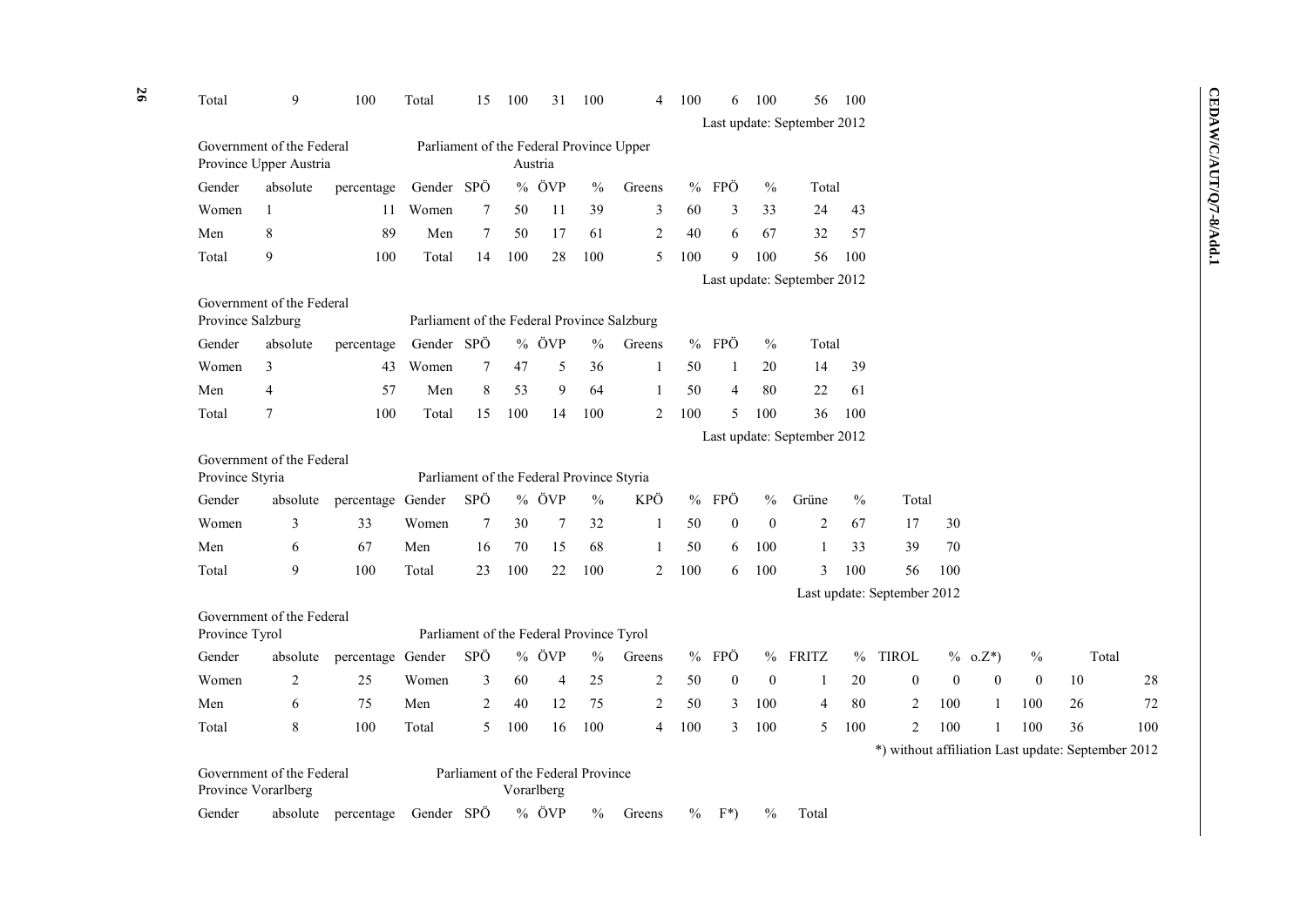| Total           | 9                                                   | 100                            | Total                                       | 15     | 100 | 31                                               | 100           | 4                | 100  | 6                | 100            | 56                          | 100  |                             |              |              |              |                                                    |     |
|-----------------|-----------------------------------------------------|--------------------------------|---------------------------------------------|--------|-----|--------------------------------------------------|---------------|------------------|------|------------------|----------------|-----------------------------|------|-----------------------------|--------------|--------------|--------------|----------------------------------------------------|-----|
|                 |                                                     |                                |                                             |        |     |                                                  |               |                  |      |                  |                | Last update: September 2012 |      |                             |              |              |              |                                                    |     |
|                 | Government of the Federal<br>Province Upper Austria |                                | Parliament of the Federal Province Upper    |        |     | Austria                                          |               |                  |      |                  |                |                             |      |                             |              |              |              |                                                    |     |
| Gender          | absolute                                            | percentage                     | Gender SPÖ                                  |        |     | % ÖVP                                            | $\frac{0}{0}$ | Greens           |      | $%$ FPÖ          | $\frac{0}{0}$  | Total                       |      |                             |              |              |              |                                                    |     |
| Women           | $\mathbf{1}$                                        | 11                             | Women                                       | 7      | 50  | 11                                               | 39            | 3                | 60   | 3                | 33             | 24                          | 43   |                             |              |              |              |                                                    |     |
| Men             | 8                                                   | 89                             | Men                                         | $\tau$ | 50  | 17                                               | 61            | $\boldsymbol{2}$ | 40   | 6                | 67             | 32                          | 57   |                             |              |              |              |                                                    |     |
| Total           | 9                                                   | 100                            | Total                                       | 14     | 100 | 28                                               | 100           | 5                | 100  | 9                | 100            | 56                          | 100  |                             |              |              |              |                                                    |     |
|                 |                                                     |                                |                                             |        |     |                                                  |               |                  |      |                  |                | Last update: September 2012 |      |                             |              |              |              |                                                    |     |
|                 | Government of the Federal                           |                                |                                             |        |     |                                                  |               |                  |      |                  |                |                             |      |                             |              |              |              |                                                    |     |
|                 | Province Salzburg                                   |                                | Parliament of the Federal Province Salzburg |        |     |                                                  |               |                  |      |                  |                |                             |      |                             |              |              |              |                                                    |     |
| Gender          | absolute                                            | percentage                     | Gender SPÖ                                  |        |     | % ÖVP                                            | $\frac{0}{0}$ | Greens           |      | $%$ FPÖ          | $\frac{0}{0}$  | Total                       |      |                             |              |              |              |                                                    |     |
| Women           | 3                                                   | 43                             | Women                                       | 7      | 47  | 5                                                | 36            | -1               | 50   | 1                | 20             | 14                          | 39   |                             |              |              |              |                                                    |     |
| Men             | $\overline{4}$                                      | 57                             | Men                                         | 8      | 53  | 9                                                | 64            | $\mathbf{1}$     | 50   | $\overline{4}$   | 80             | 22                          | 61   |                             |              |              |              |                                                    |     |
| Total           | $\overline{7}$                                      | 100                            | Total                                       | 15     | 100 | 14                                               | 100           | $\overline{c}$   | 100  | 5                | 100            | 36                          | 100  |                             |              |              |              |                                                    |     |
|                 |                                                     |                                |                                             |        |     |                                                  |               |                  |      |                  |                | Last update: September 2012 |      |                             |              |              |              |                                                    |     |
| Province Styria | Government of the Federal                           |                                | Parliament of the Federal Province Styria   |        |     |                                                  |               |                  |      |                  |                |                             |      |                             |              |              |              |                                                    |     |
| Gender          | absolute                                            | percentage Gender              |                                             | SPÖ    |     | $%$ ÖVP                                          | $\frac{0}{0}$ | KPÖ              |      | $%$ FPÖ          | $\%$           | Grüne                       | $\%$ | Total                       |              |              |              |                                                    |     |
| Women           | 3                                                   | 33                             | Women                                       | $\tau$ | 30  | $7\phantom{.0}$                                  | 32            | -1               | 50   | $\mathbf{0}$     | $\overline{0}$ | $\overline{2}$              | 67   | 17                          | 30           |              |              |                                                    |     |
| Men             | 6                                                   | 67                             | Men                                         | 16     | 70  | 15                                               | 68            | -1               | 50   | 6                | 100            | 1                           | 33   | 39                          | 70           |              |              |                                                    |     |
| Total           | 9                                                   | 100                            | Total                                       | 23     | 100 | 22                                               | 100           | $\overline{c}$   | 100  | 6                | 100            | 3                           | 100  | 56                          | 100          |              |              |                                                    |     |
|                 |                                                     |                                |                                             |        |     |                                                  |               |                  |      |                  |                |                             |      | Last update: September 2012 |              |              |              |                                                    |     |
|                 | Government of the Federal                           |                                |                                             |        |     |                                                  |               |                  |      |                  |                |                             |      |                             |              |              |              |                                                    |     |
| Province Tyrol  |                                                     |                                |                                             |        |     | Parliament of the Federal Province Tyrol         |               |                  |      |                  |                |                             |      |                             |              |              |              |                                                    |     |
| Gender          | absolute                                            | percentage Gender              |                                             | SPÖ    |     | % ÖVP                                            | $\frac{0}{0}$ | Greens           |      | % FPÖ            |                | % FRITZ                     | $\%$ | <b>TIROL</b>                |              | $% 0. Z^*$   | $\%$         | Total                                              |     |
| Women           | 2                                                   | 25                             | Women                                       | 3      | 60  | $\overline{4}$                                   | 25            | 2                | 50   | $\boldsymbol{0}$ | $\overline{0}$ | 1                           | 20   | $\mathbf{0}$                | $\mathbf{0}$ | $\mathbf{0}$ | $\mathbf{0}$ | 10                                                 | 28  |
| Men             | 6                                                   | 75                             | Men                                         | 2      | 40  | $12\,$                                           | 75            | $\overline{2}$   | 50   | 3                | 100            | $\overline{4}$              | 80   | 2                           | 100          | $\mathbf{1}$ | 100          | 26                                                 | 72  |
| Total           | 8                                                   | 100                            | Total                                       | 5      | 100 | 16                                               | 100           | 4                | 100  | 3                | 100            | 5                           | 100  | $\overline{2}$              | 100          | $\mathbf{1}$ | 100          | 36                                                 | 100 |
|                 |                                                     |                                |                                             |        |     |                                                  |               |                  |      |                  |                |                             |      |                             |              |              |              | *) without affiliation Last update: September 2012 |     |
|                 | Government of the Federal<br>Province Vorarlberg    |                                |                                             |        |     | Parliament of the Federal Province<br>Vorarlberg |               |                  |      |                  |                |                             |      |                             |              |              |              |                                                    |     |
| Gender          |                                                     | absolute percentage Gender SPÖ |                                             |        |     | % ÖVP                                            | $\frac{0}{0}$ | Greens           | $\%$ | $F^*$            | $\%$           | Total                       |      |                             |              |              |              |                                                    |     |

CEDAW/C/AUT/Q/7-8/Add.1 **CEDAW/C/AUT/Q/7-8/Add.1**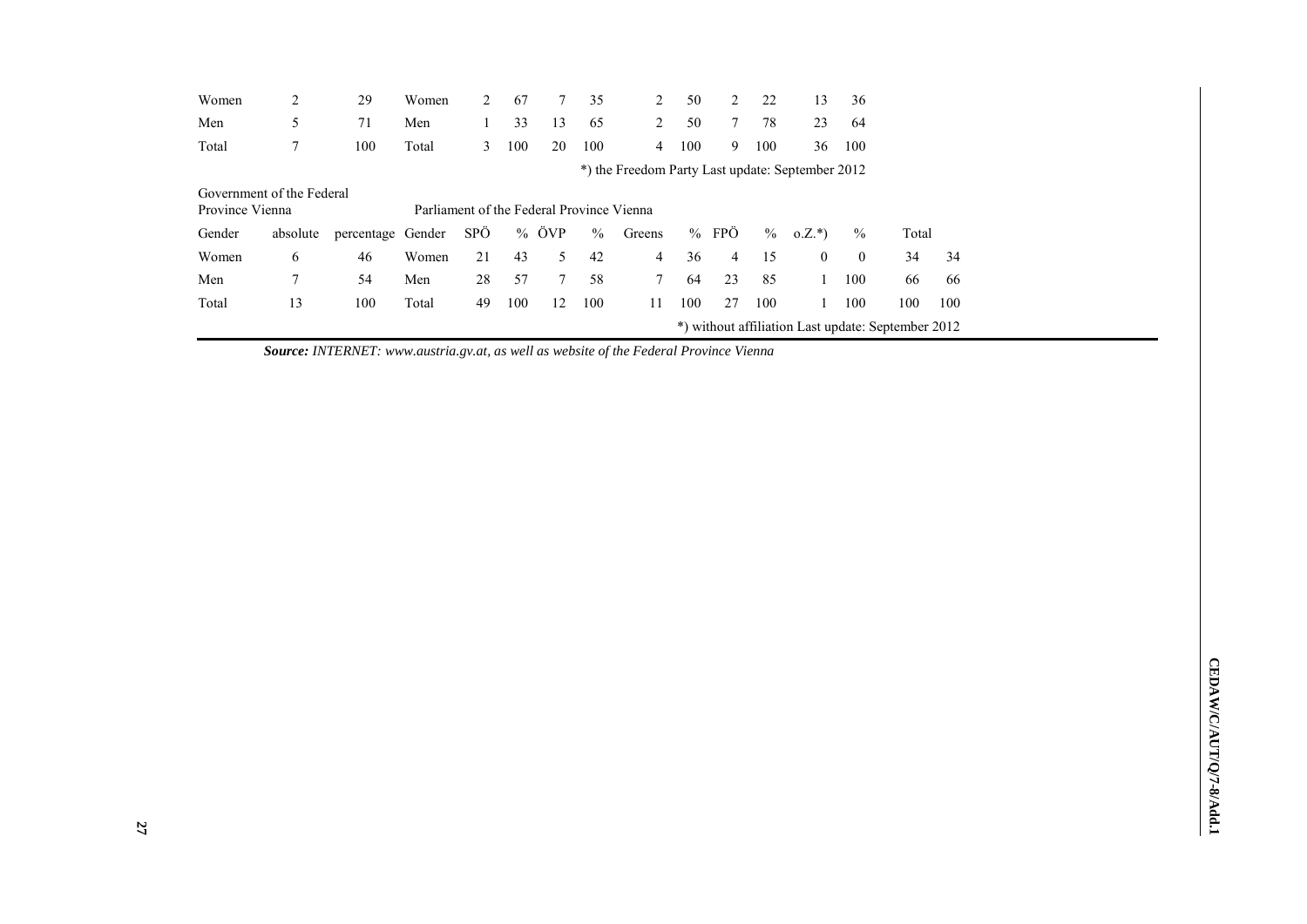| Women                     | 2        | 29                | Women                                     |     | 67  |                              | 35            | 2                                                | 50  | 2           | 22   | 13           | 36           |                                                    |     |
|---------------------------|----------|-------------------|-------------------------------------------|-----|-----|------------------------------|---------------|--------------------------------------------------|-----|-------------|------|--------------|--------------|----------------------------------------------------|-----|
| Men                       | 5        | 71                | Men                                       |     | 33  | 13                           | 65            | 2                                                | 50  | $7^{\circ}$ | 78   | 23           | 64           |                                                    |     |
| Total                     | 7        | 100               | Total                                     | 3   | 100 | 20                           | 100           | 4                                                | 100 | 9           | 100  | 36           | 100          |                                                    |     |
|                           |          |                   |                                           |     |     |                              |               | *) the Freedom Party Last update: September 2012 |     |             |      |              |              |                                                    |     |
| Government of the Federal |          |                   |                                           |     |     |                              |               |                                                  |     |             |      |              |              |                                                    |     |
| Province Vienna           |          |                   | Parliament of the Federal Province Vienna |     |     |                              |               |                                                  |     |             |      |              |              |                                                    |     |
| Gender                    | absolute | percentage Gender |                                           | SPÖ |     | % $\ddot{\text{O}}\text{VP}$ | $\frac{0}{0}$ | Greens                                           |     | $%$ FPO     | $\%$ | $0.Z.*$      | $\%$         | Total                                              |     |
| Women                     | 6        | 46                | Women                                     | 21  | 43  | 5                            | 42            | 4                                                | 36  | 4           | 15   | $\mathbf{0}$ | $\mathbf{0}$ | 34                                                 | 34  |
| Men                       | 7        | 54                | Men                                       | 28  | 57  |                              | 58            | 7                                                | 64  | 23          | 85   |              | 100          | 66                                                 | 66  |
| Total                     | 13       | 100               | Total                                     | 49  | 100 | 12                           | 100           | 11                                               | 100 | 27          | 100  |              | 100          | 100                                                | 100 |
|                           |          |                   |                                           |     |     |                              |               |                                                  |     |             |      |              |              | *) without affiliation Last update: September 2012 |     |

*Source: INTERNET: [www.austria.gv.at,](http://www.austria.gv.at/) as well as website of the Federal Province Vienna*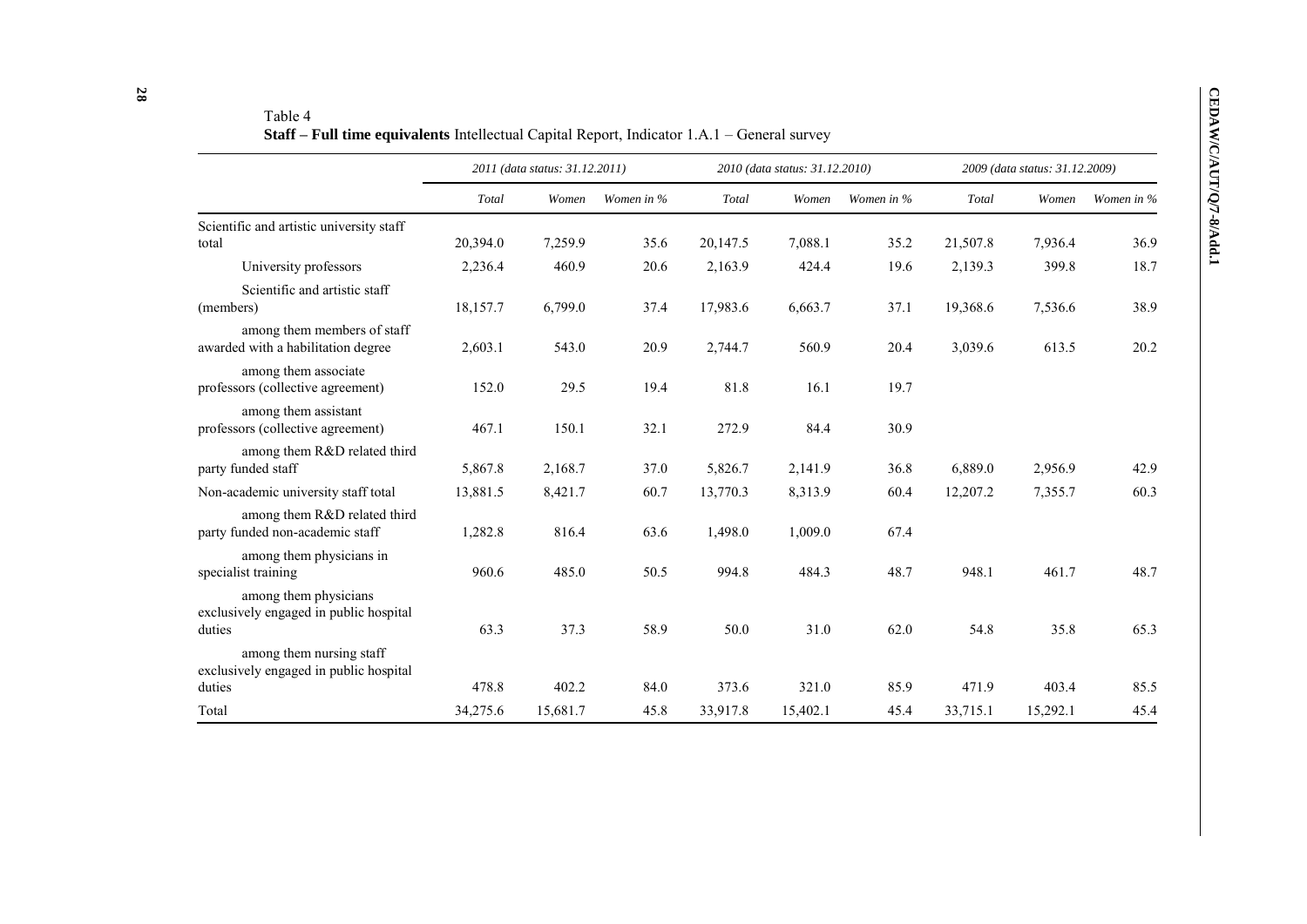|                                                                              |          | 2011 (data status: 31.12.2011) |            |          | 2010 (data status: 31.12.2010) |            |          | 2009 (data status: 31.12.2009) |            |
|------------------------------------------------------------------------------|----------|--------------------------------|------------|----------|--------------------------------|------------|----------|--------------------------------|------------|
|                                                                              | Total    | Women                          | Women in % | Total    | Women                          | Women in % | Total    | Women                          | Women in % |
| Scientific and artistic university staff                                     |          |                                |            |          |                                |            |          |                                |            |
| total                                                                        | 20,394.0 | 7,259.9                        | 35.6       | 20,147.5 | 7,088.1                        | 35.2       | 21,507.8 | 7,936.4                        | 36.9       |
| University professors                                                        | 2,236.4  | 460.9                          | 20.6       | 2,163.9  | 424.4                          | 19.6       | 2,139.3  | 399.8                          | 18.7       |
| Scientific and artistic staff<br>(members)                                   | 18,157.7 | 6,799.0                        | 37.4       | 17,983.6 | 6,663.7                        | 37.1       | 19,368.6 | 7,536.6                        | 38.9       |
| among them members of staff<br>awarded with a habilitation degree            | 2,603.1  | 543.0                          | 20.9       | 2,744.7  | 560.9                          | 20.4       | 3,039.6  | 613.5                          | 20.2       |
| among them associate<br>professors (collective agreement)                    | 152.0    | 29.5                           | 19.4       | 81.8     | 16.1                           | 19.7       |          |                                |            |
| among them assistant<br>professors (collective agreement)                    | 467.1    | 150.1                          | 32.1       | 272.9    | 84.4                           | 30.9       |          |                                |            |
| among them R&D related third<br>party funded staff                           | 5,867.8  | 2,168.7                        | 37.0       | 5,826.7  | 2,141.9                        | 36.8       | 6,889.0  | 2,956.9                        | 42.9       |
| Non-academic university staff total                                          | 13,881.5 | 8,421.7                        | 60.7       | 13,770.3 | 8,313.9                        | 60.4       | 12,207.2 | 7,355.7                        | 60.3       |
| among them R&D related third<br>party funded non-academic staff              | 1,282.8  | 816.4                          | 63.6       | 1,498.0  | 1,009.0                        | 67.4       |          |                                |            |
| among them physicians in<br>specialist training                              | 960.6    | 485.0                          | 50.5       | 994.8    | 484.3                          | 48.7       | 948.1    | 461.7                          | 48.7       |
| among them physicians<br>exclusively engaged in public hospital<br>duties    | 63.3     | 37.3                           | 58.9       | 50.0     | 31.0                           | 62.0       | 54.8     | 35.8                           | 65.3       |
| among them nursing staff<br>exclusively engaged in public hospital<br>duties | 478.8    | 402.2                          | 84.0       | 373.6    | 321.0                          | 85.9       | 471.9    | 403.4                          | 85.5       |
| Total                                                                        | 34,275.6 | 15,681.7                       | 45.8       | 33,917.8 | 15,402.1                       | 45.4       | 33,715.1 | 15,292.1                       | 45.4       |

Table 4 **Staff – Full time equivalents** Intellectual Capital Report, Indicator 1.A.1 – General survey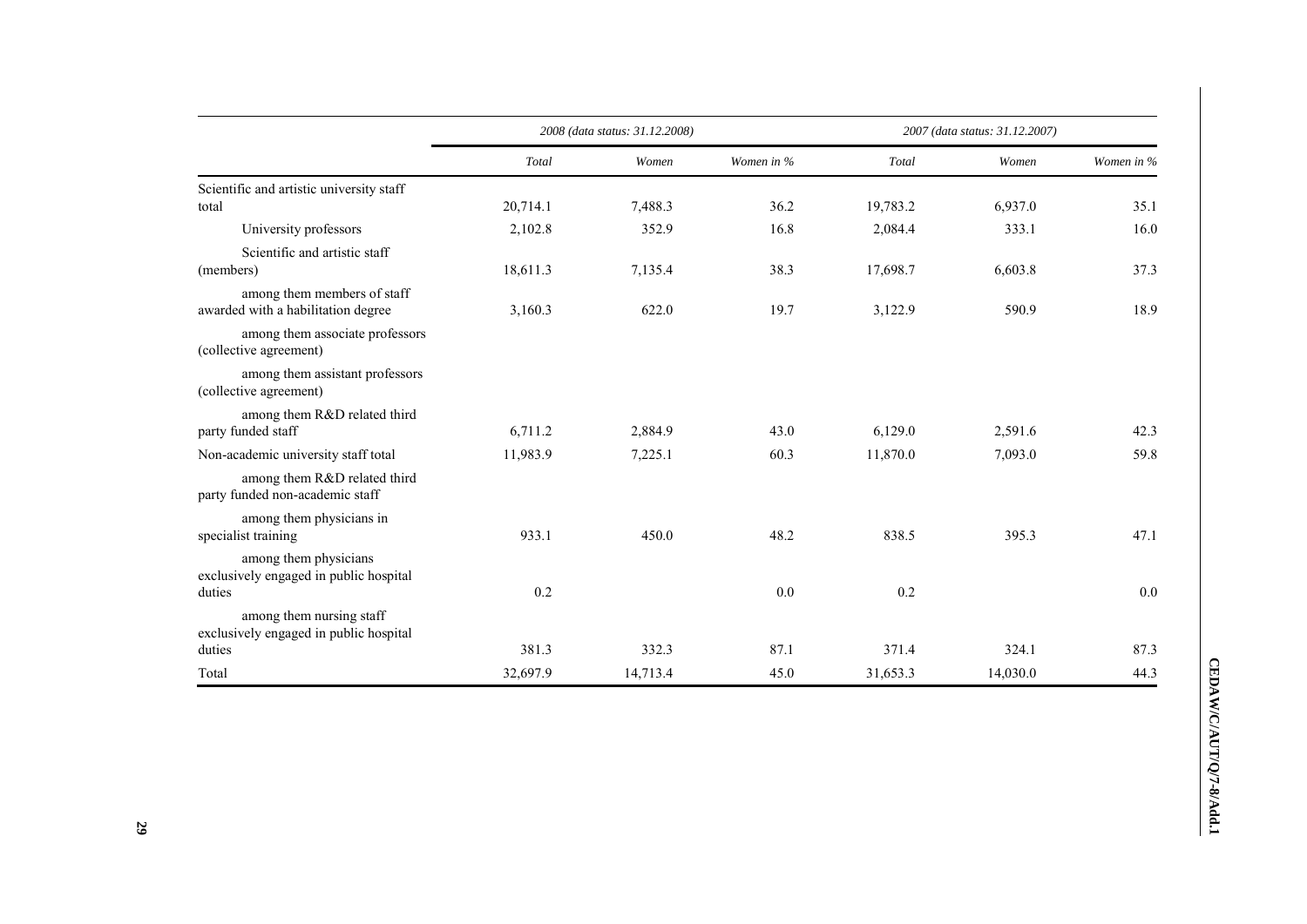|                                                                           |          | 2008 (data status: 31.12.2008) |            |          | 2007 (data status: 31.12.2007) |            |
|---------------------------------------------------------------------------|----------|--------------------------------|------------|----------|--------------------------------|------------|
|                                                                           | Total    | Women                          | Women in % | Total    | Women                          | Women in % |
| Scientific and artistic university staff<br>total                         | 20,714.1 | 7,488.3                        | 36.2       | 19,783.2 | 6,937.0                        | 35.1       |
| University professors                                                     | 2,102.8  | 352.9                          | 16.8       | 2,084.4  | 333.1                          | 16.0       |
| Scientific and artistic staff<br>(members)                                | 18,611.3 | 7,135.4                        | 38.3       | 17,698.7 | 6,603.8                        | 37.3       |
| among them members of staff<br>awarded with a habilitation degree         | 3,160.3  | 622.0                          | 19.7       | 3,122.9  | 590.9                          | 18.9       |
| among them associate professors<br>(collective agreement)                 |          |                                |            |          |                                |            |
| among them assistant professors<br>(collective agreement)                 |          |                                |            |          |                                |            |
| among them R&D related third<br>party funded staff                        | 6,711.2  | 2,884.9                        | 43.0       | 6,129.0  | 2,591.6                        | 42.3       |
| Non-academic university staff total                                       | 11,983.9 | 7,225.1                        | 60.3       | 11,870.0 | 7,093.0                        | 59.8       |
| among them R&D related third<br>party funded non-academic staff           |          |                                |            |          |                                |            |
| among them physicians in<br>specialist training                           | 933.1    | 450.0                          | 48.2       | 838.5    | 395.3                          | 47.1       |
| among them physicians<br>exclusively engaged in public hospital<br>duties | 0.2      |                                | 0.0        | 0.2      |                                | 0.0        |
| among them nursing staff<br>exclusively engaged in public hospital        |          |                                |            |          |                                |            |
| duties                                                                    | 381.3    | 332.3                          | 87.1       | 371.4    | 324.1                          | 87.3       |
| Total                                                                     | 32,697.9 | 14,713.4                       | 45.0       | 31,653.3 | 14,030.0                       | 44.3       |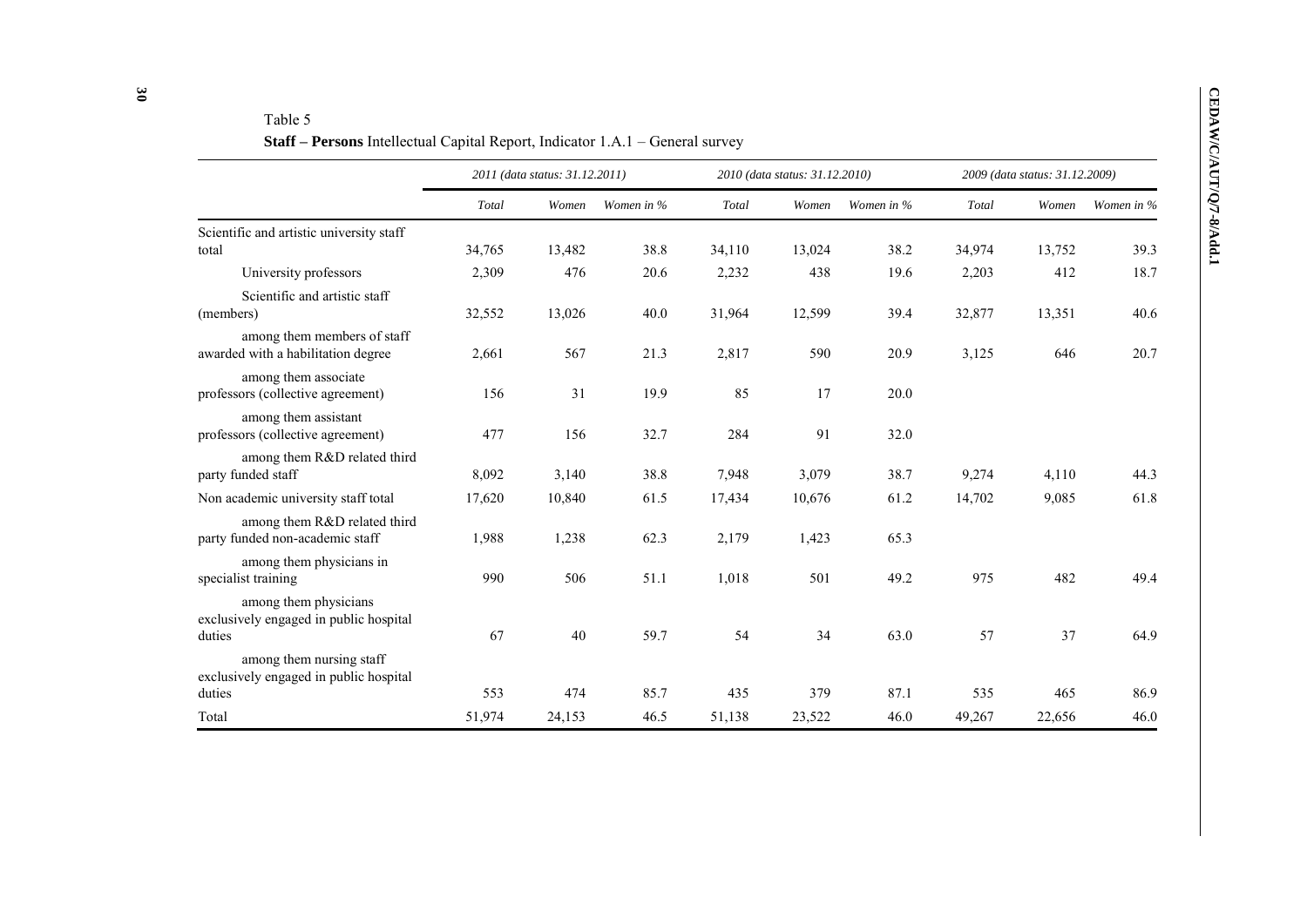# Table 5

**Staff – Persons** Intellectual Capital Report, Indicator 1.A.1 – General survey

|                                                                              |        | 2011 (data status: 31.12.2011) |            |        | 2010 (data status: 31.12.2010) |            |        | 2009 (data status: 31.12.2009) |            |
|------------------------------------------------------------------------------|--------|--------------------------------|------------|--------|--------------------------------|------------|--------|--------------------------------|------------|
|                                                                              | Total  | Women                          | Women in % | Total  | Women                          | Women in % | Total  | Women                          | Women in % |
| Scientific and artistic university staff                                     |        |                                |            |        |                                |            |        |                                |            |
| total                                                                        | 34,765 | 13,482                         | 38.8       | 34,110 | 13,024                         | 38.2       | 34,974 | 13,752                         | 39.3       |
| University professors                                                        | 2,309  | 476                            | 20.6       | 2,232  | 438                            | 19.6       | 2,203  | 412                            | 18.7       |
| Scientific and artistic staff<br>(members)                                   | 32,552 | 13,026                         | 40.0       | 31,964 | 12,599                         | 39.4       | 32,877 | 13,351                         | 40.6       |
| among them members of staff<br>awarded with a habilitation degree            | 2,661  | 567                            | 21.3       | 2,817  | 590                            | 20.9       | 3,125  | 646                            | 20.7       |
| among them associate<br>professors (collective agreement)                    | 156    | 31                             | 19.9       | 85     | 17                             | 20.0       |        |                                |            |
| among them assistant<br>professors (collective agreement)                    | 477    | 156                            | 32.7       | 284    | 91                             | 32.0       |        |                                |            |
| among them R&D related third<br>party funded staff                           | 8,092  | 3,140                          | 38.8       | 7,948  | 3,079                          | 38.7       | 9,274  | 4,110                          | 44.3       |
| Non academic university staff total                                          | 17,620 | 10,840                         | 61.5       | 17,434 | 10,676                         | 61.2       | 14,702 | 9,085                          | 61.8       |
| among them R&D related third<br>party funded non-academic staff              | 1,988  | 1,238                          | 62.3       | 2,179  | 1,423                          | 65.3       |        |                                |            |
| among them physicians in<br>specialist training                              | 990    | 506                            | 51.1       | 1,018  | 501                            | 49.2       | 975    | 482                            | 49.4       |
| among them physicians<br>exclusively engaged in public hospital<br>duties    | 67     | 40                             | 59.7       | 54     | 34                             | 63.0       | 57     | 37                             | 64.9       |
| among them nursing staff<br>exclusively engaged in public hospital<br>duties | 553    | 474                            | 85.7       | 435    | 379                            | 87.1       | 535    | 465                            | 86.9       |
| Total                                                                        | 51,974 | 24,153                         | 46.5       | 51,138 | 23,522                         | 46.0       | 49,267 | 22,656                         | 46.0       |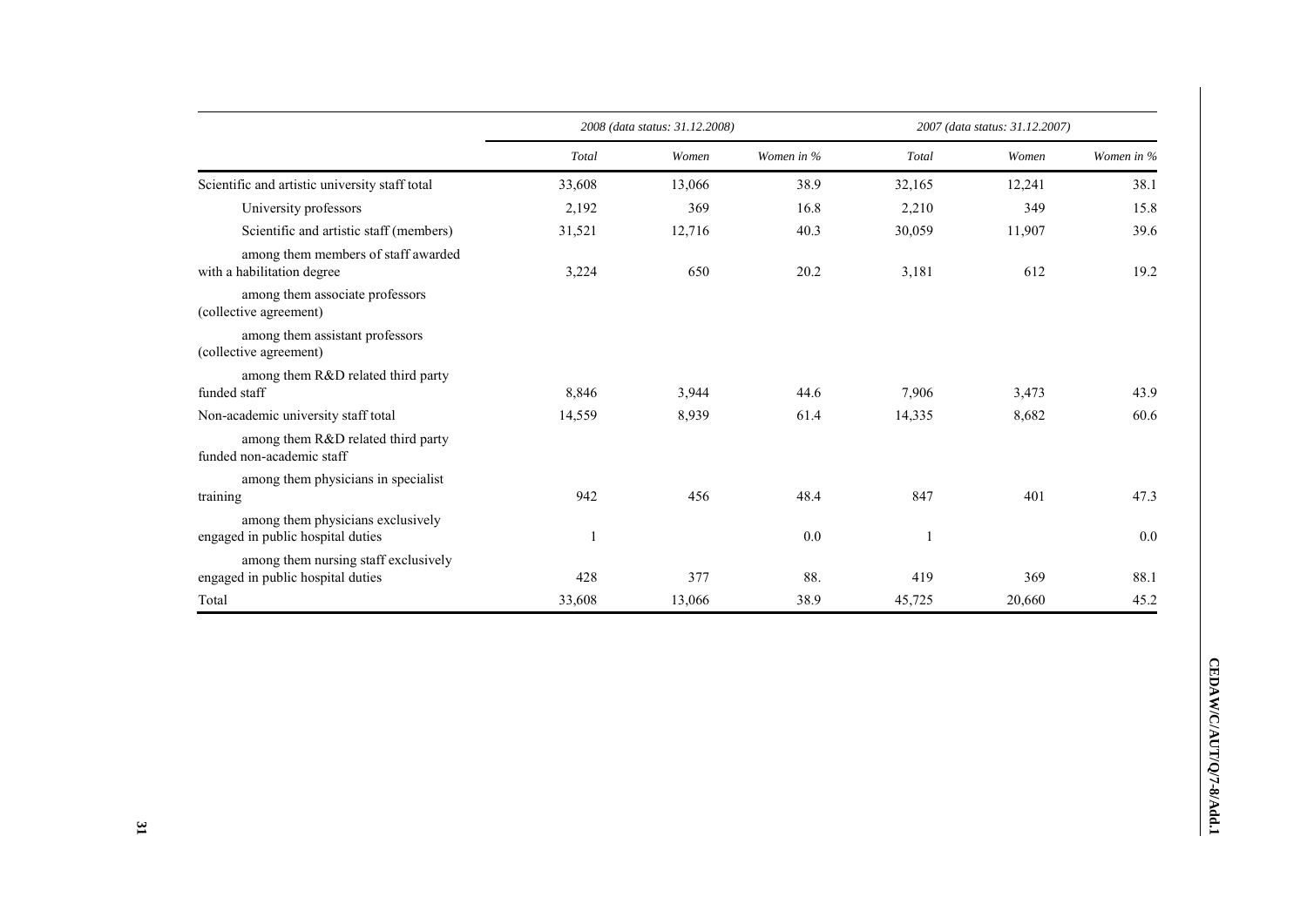|                                                                           |        | 2008 (data status: 31.12.2008) |            | 2007 (data status: 31.12.2007) |        |            |  |
|---------------------------------------------------------------------------|--------|--------------------------------|------------|--------------------------------|--------|------------|--|
|                                                                           | Total  | Women                          | Women in % | Total                          | Women  | Women in % |  |
| Scientific and artistic university staff total                            | 33,608 | 13,066                         | 38.9       | 32,165                         | 12,241 | 38.1       |  |
| University professors                                                     | 2,192  | 369                            | 16.8       | 2,210                          | 349    | 15.8       |  |
| Scientific and artistic staff (members)                                   | 31,521 | 12,716                         | 40.3       | 30,059                         | 11,907 | 39.6       |  |
| among them members of staff awarded<br>with a habilitation degree         | 3,224  | 650                            | 20.2       | 3,181                          | 612    | 19.2       |  |
| among them associate professors<br>(collective agreement)                 |        |                                |            |                                |        |            |  |
| among them assistant professors<br>(collective agreement)                 |        |                                |            |                                |        |            |  |
| among them R&D related third party<br>funded staff                        | 8,846  | 3,944                          | 44.6       | 7,906                          | 3,473  | 43.9       |  |
| Non-academic university staff total                                       | 14,559 | 8,939                          | 61.4       | 14,335                         | 8,682  | 60.6       |  |
| among them R&D related third party<br>funded non-academic staff           |        |                                |            |                                |        |            |  |
| among them physicians in specialist<br>training                           | 942    | 456                            | 48.4       | 847                            | 401    | 47.3       |  |
| among them physicians exclusively<br>engaged in public hospital duties    |        |                                | 0.0        |                                |        | 0.0        |  |
| among them nursing staff exclusively<br>engaged in public hospital duties | 428    | 377                            | 88.        | 419                            | 369    | 88.1       |  |
| Total                                                                     | 33,608 | 13,066                         | 38.9       | 45,725                         | 20,660 | 45.2       |  |